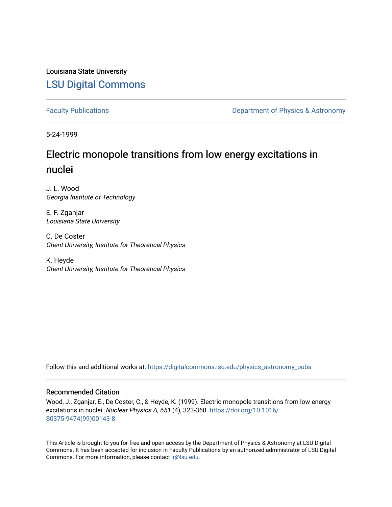## Louisiana State University [LSU Digital Commons](https://digitalcommons.lsu.edu/)

[Faculty Publications](https://digitalcommons.lsu.edu/physics_astronomy_pubs) **Exercise 2 and Table 2 and Table 2 and Table 2 and Table 2 and Table 2 and Table 2 and Table 2 and Table 2 and Table 2 and Table 2 and Table 2 and Table 2 and Table 2 and Table 2 and Table 2 and Table** 

5-24-1999

# Electric monopole transitions from low energy excitations in nuclei

J. L. Wood Georgia Institute of Technology

E. F. Zganjar Louisiana State University

C. De Coster Ghent University, Institute for Theoretical Physics

K. Heyde Ghent University, Institute for Theoretical Physics

Follow this and additional works at: [https://digitalcommons.lsu.edu/physics\\_astronomy\\_pubs](https://digitalcommons.lsu.edu/physics_astronomy_pubs?utm_source=digitalcommons.lsu.edu%2Fphysics_astronomy_pubs%2F6158&utm_medium=PDF&utm_campaign=PDFCoverPages) 

## Recommended Citation

Wood, J., Zganjar, E., De Coster, C., & Heyde, K. (1999). Electric monopole transitions from low energy excitations in nuclei. Nuclear Physics A, 651 (4), 323-368. [https://doi.org/10.1016/](https://doi.org/10.1016/S0375-9474(99)00143-8) [S0375-9474\(99\)00143-8](https://doi.org/10.1016/S0375-9474(99)00143-8)

This Article is brought to you for free and open access by the Department of Physics & Astronomy at LSU Digital Commons. It has been accepted for inclusion in Faculty Publications by an authorized administrator of LSU Digital Commons. For more information, please contact [ir@lsu.edu](mailto:ir@lsu.edu).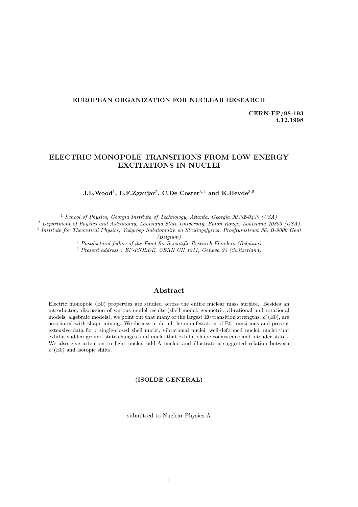### *EUROPEAN ORGANIZATION FOR NUCLEAR RESEARCH*

*CERN-EP/98-193 4.12.1998*

## *ELECTRIC MONOPOLE TRANSITIONS FROM LOW ENERGY EXCITATIONS IN NUCLEI*

## *J.L.Wood*<sup>1</sup>*, E.F.Zganjar*<sup>2</sup>*, C.De Coster*<sup>3</sup>,<sup>4</sup> *and K.Heyde*<sup>3</sup>,<sup>5</sup>

<sup>1</sup> School of Physics, Georgia Institute of Technology, Atlanta, Georgia 30332-0430 (USA)

<sup>2</sup> Department of Physics and Astronomy, Louisiana State University, Baton Rouge, Louisiana 70803 (USA)

<sup>3</sup> Institute for Theoretical Physics, Vakgroep Subatomaire en Stralingsfysica, Proeftuinstraat 86, B-9000 Gent

(Belgium)

<sup>4</sup> Postdoctoral fellow of the Fund for Scientific Research-Flanders (Belgium)

<sup>5</sup> Present address : EP-ISOLDE, CERN CH 1211, Geneva 23 (Switzerland)

## *Abstract*

Electric monopole (E0) properties are studied across the entire nuclear mass surface. Besides an introductory discussion of various model results (shell model, geometric vibrational and rotational models, algebraic models), we point out that many of the largest E0 transition strengths,  $\rho^2(E0)$ , are associated with shape mixing. We discuss in detail the manifestation of E0 transitions and present extensive data for : single-closed shell nuclei, vibrational nuclei, well-deformed nuclei, nuclei that exhibit sudden ground-state changes, and nuclei that exhibit shape coexistence and intruder states. We also give attention to light nuclei, odd-A nuclei, and illustrate a suggested relation between  $\rho^2(E0)$  and isotopic shifts.

## *(ISOLDE GENERAL)*

submitted to Nuclear Physics A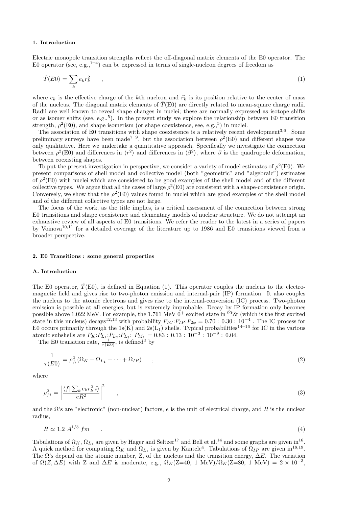#### **1. Introduction**

Electric monopole transition strengths reflect the off-diagonal matrix elements of the E0 operator. The E0 operator (see, e.g.,  $1^{-4}$ ) can be expressed in terms of single-nucleon degrees of freedom as

$$
\hat{T}(E0) = \sum_{k} e_k r_k^2 \qquad , \tag{1}
$$

where  $e_k$  is the effective charge of the kth nucleon and  $\vec{r}_k$  is its position relative to the center of mass of the nucleus. The diagonal matrix elements of  $\hat{T}(E0)$  are directly related to mean-square charge radii. Radii are well known to reveal shape changes in nuclei; these are normally expressed as isotope shifts or as isomer shifts (see, e.g.,<sup>5</sup>). In the present study we explore the relationship between E0 transition strength,  $\rho^2(E0)$ , and shape isomerism (or shape coexistence, see, e.g.,<sup>5</sup>) in nuclei.

The association of E0 transitions with shape coexistence is a relatively recent development<sup>3,6</sup>. Some preliminary surveys have been made<sup>7-9</sup>, but the association between  $\rho^2(E0)$  and different shapes was only qualitative. Here we undertake a quantitative approach. Specifically we investigate the connection between  $\rho^2(E0)$  and differences in  $\langle r^2 \rangle$  and differences in  $\langle \beta^2 \rangle$ , where  $\beta$  is the quadrupole deformation, between coexisting shapes.

To put the present investigation in perspective, we consider a variety of model estimates of  $\rho^2(E0)$ . We present comparisons of shell model and collective model (both "geometric" and "algebraic") estimates of  $\rho^2(E0)$  with nuclei which are considered to be good examples of the shell model and of the different collective types. We argue that all the cases of large  $\rho^2(E0)$  are consistent with a shape-coexistence origin. Conversely, we show that the  $\rho^2(E0)$  values found in nuclei which are good examples of the shell model and of the different collective types are not large.

The focus of the work, as the title implies, is a critical assessment of the connection between strong E0 transitions and shape coexistence and elementary models of nuclear structure. We do not attempt an exhaustive review of all aspects of E0 transitions. We refer the reader to the latest in a series of papers by Voinova<sup>10</sup>,<sup>11</sup> for a detailed coverage of the literature up to 1986 and E0 transitions viewed from a broader perspective.

#### **2. E0 Transitions : some general properties**

#### **A. Introduction**

The E0 operator,  $\hat{T}(E0)$ , is defined in Equation (1). This operator couples the nucleus to the electromagnetic field and gives rise to two-photon emission and internal-pair (IP) formation. It also couples the nucleus to the atomic electrons and gives rise to the internal-conversion (IC) process. Two-photon emission is possible at all energies, but is extremely improbable. Decay by IP formation only becomes possible above 1.022 MeV. For example, the 1.761 MeV  $0^+$  excited state in  $90Zr$  (which is the first excited state in this nucleus) decays<sup>12,13</sup> with probability  $P_{IC}:P_{IP}:P_{2\phi}=0.70:0.30:10^{-4}$ . The IC process for E0 occurs primarily through the 1s(K) and 2s(L<sub>1</sub>) shells. Typical probabilities<sup>14–16</sup> for IC in the various atomic subshells are  $P_K$ : $P_{L_1}$ : $P_{L_2}$ : $P_{L_3}$ :  $P_{M_1} = 0.83 : 0.13 : 10^{-3} : 10^{-9} : 0.04$ .

The E0 transition rate,  $\frac{1}{\tau(E0)}$ , is defined<sup>3</sup> by

$$
\frac{1}{\tau(E0)} = \rho_{f_i}^2 (\Omega_K + \Omega_{L_1} + \dots + \Omega_{IP}) \qquad , \qquad (2)
$$

where

$$
\rho_{fi}^2 = \left| \frac{\langle f | \sum_k e_k r_k^2 | i \rangle}{eR^2} \right|^2 \tag{3}
$$

and the  $\Omega$ 's are "electronic" (non-nuclear) factors, e is the unit of electrical charge, and R is the nuclear radius,

$$
R \simeq 1.2 \ A^{1/3} \ fm \tag{4}
$$

Tabulations of  $\Omega_K$ ,  $\Omega_{L_1}$  are given by Hager and Seltzer<sup>17</sup> and Bell et al.<sup>14</sup> and some graphs are given in<sup>16</sup>. A quick method for computing  $\Omega_K$  and  $\Omega_{L_1}$  is given by Kantele<sup>4</sup>. Tabulations of  $\Omega_{IP}$  are given in<sup>18,19</sup>. The  $\Omega$ 's depend on the atomic number, Z, of the nucleus and the transition energy,  $\Delta E$ . The variation of  $\Omega(Z, \Delta E)$  with Z and  $\Delta E$  is moderate, e.g.,  $\Omega_K(Z=40, 1 \text{ MeV})/\Omega_K(Z=80, 1 \text{ MeV}) = 2 \times 10^{-3}$ ,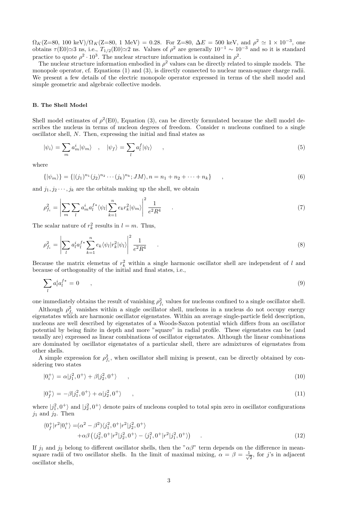$\Omega_K(\text{Z=80, 100 keV})/\Omega_K(\text{Z=80, 1 MeV}) = 0.28.$  For Z=80,  $\Delta E = 500$  keV, and  $\rho^2 \simeq 1 \times 10^{-3}$ , one obtains  $\tau(E0)\simeq 3$  ns, i.e.,  $T_{1/2}(E0)\simeq 2$  ns. Values of  $\rho^2$  are generally  $10^{-1} \sim 10^{-3}$  and so it is standard practice to quote  $\rho^2 \cdot 10^3$ . The nuclear structure information is contained in  $\rho^2$ .

The nuclear structure information embodied in  $\rho^2$  values can be directly related to simple models. The monopole operator, cf. Equations (1) and (3), is directly connected to nuclear mean-square charge radii. We present a few details of the electric monopole operator expressed in terms of the shell model and simple geometric and algebraic collective models.

#### **B. The Shell Model**

Shell model estimates of  $\rho^2(E0)$ , Equation (3), can be directly formulated because the shell model describes the nucleus in terms of nucleon degrees of freedom. Consider  $n$  nucleons confined to a single oscillator shell, N. Then, expressing the initial and final states as

$$
|\psi_i\rangle = \sum_m a_m^i |\psi_m\rangle \quad , \quad |\psi_f\rangle = \sum_l a_l^f |\psi_l\rangle \quad , \tag{5}
$$

where

$$
\{|\psi_m\rangle\} = \{ |(j_1)^{n_1}(j_2)^{n_2} \cdots (j_k)^{n_k}; JM\rangle, n = n_1 + n_2 + \cdots + n_k \}, \qquad (6)
$$

and  $j_1, j_2 \cdots, j_k$  are the orbitals making up the shell, we obtain

$$
\rho_{f_i}^2 = \left| \sum_{m} \sum_{l} a_m^i a_l^{f*} \langle \psi_l | \sum_{k=1}^n e_k r_k^2 | \psi_m \rangle \right|^2 \frac{1}{e^2 R^4} \tag{7}
$$

The scalar nature of  $r_k^2$  results in  $l = m$ . Thus,

$$
\rho_{f_i}^2 = \left| \sum_l a_l^i a_l^{f*} \sum_{k=1}^n e_k \langle \psi_l | r_k^2 | \psi_l \rangle \right|^2 \frac{1}{e^2 R^4} \tag{8}
$$

Because the matrix elemetns of  $r_k^2$  within a single harmonic oscillator shell are independent of l and because of orthogonality of the initial and final states, i.e.,

$$
\sum_{l} a_l^i a_l^{f*} = 0 \qquad , \tag{9}
$$

one immediately obtains the result of vanishing  $\rho_{f_i}^2$  values for nucleons confined to a single oscillator shell.

Although  $\rho_{f_i}^2$  vanishes within a single oscillator shell, nucleons in a nucleus do not occupy energy eigenstates which are harmonic oscillator eigenstates. Within an average single-particle field description, nucleons are well described by eigenstates of a Woods-Saxon potential which differs from an oscillator potential by being finite in depth and more "square" in radial profile. These eigenstates can be (and usually are) expressed as linear combinations of oscillator eigenstates. Although the linear combinations are dominated by oscillator eigenstates of a particular shell, there are admixtures of eigenstates from other shells.

A simple expression for  $\rho_{f_i}^2$ , when oscillator shell mixing is present, can be directly obtained by considering two states

$$
|0_i^+\rangle = \alpha|j_1^2, 0^+\rangle + \beta|j_2^2, 0^+\rangle \qquad , \qquad (10)
$$

$$
|0_f^+\rangle = -\beta|j_1^2, 0^+\rangle + \alpha|j_2^2, 0^+\rangle \qquad , \qquad (11)
$$

where  $|j_1^2, 0^+\rangle$  and  $|j_2^2, 0^+\rangle$  denote pairs of nucleons coupled to total spin zero in oscillator configurations  $j_1$  and  $j_2$ . Then

$$
\langle 0_f^+ | r^2 | 0_i^+ \rangle = (\alpha^2 - \beta^2) \langle j_1^2, 0^+ | r^2 | j_2^2, 0^+ \rangle + \alpha \beta \left( \langle j_2^2, 0^+ | r^2 | j_2^2, 0^+ \rangle - \langle j_1^2, 0^+ | r^2 | j_1^2, 0^+ \rangle \right)
$$
\n(12)

If  $j_1$  and  $j_2$  belong to different oscillator shells, then the " $\alpha\beta$ " term depends on the difference in meansquare radii of two oscillator shells. In the limit of maximal mixing,  $\alpha = \beta = \frac{1}{\sqrt{2}}$ , for j's in adjacent oscillator shells,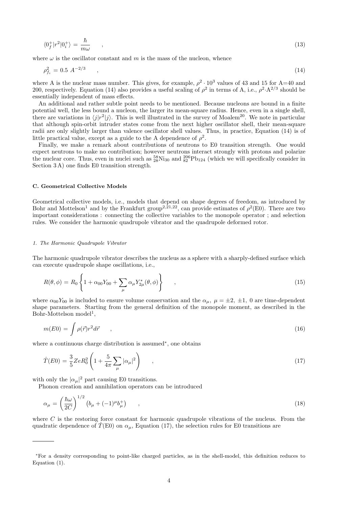$$
\langle 0_f^+ | r^2 | 0_i^+ \rangle = \frac{\hbar}{m\omega} \qquad , \tag{13}
$$

where  $\omega$  is the oscillator constant and m is the mass of the nucleon, whence

$$
\rho_{f_i}^2 = 0.5 \ A^{-2/3} \tag{14}
$$

where A is the nuclear mass number. This gives, for example,  $\rho^2 \cdot 10^3$  values of 43 and 15 for A=40 and 200, respectively. Equation (14) also provides a useful scaling of  $\rho^2$  in terms of A, i.e.,  $\rho^2 \cdot A^{2/3}$  should be essentially independent of mass effects.

An additional and rather subtle point needs to be mentioned. Because nucleons are bound in a finite potential well, the less bound a nucleon, the larger its mean-square radius. Hence, even in a single shell, there are variations in  $\langle j|r^2|j\rangle$ . This is well illustrated in the survey of Moalem<sup>20</sup>. We note in particular that although spin-orbit intruder states come from the next higher oscillator shell, their mean-square radii are only slightly larger than valence oscillator shell values. Thus, in practice, Equation (14) is of little practical value, except as a guide to the A dependence of  $\rho^2$ .

Finally, we make a remark about contributions of neutrons to E0 transition strength. One would expect neutrons to make no contribution; however neutrons interact strongly with protons and polarize the nuclear core. Thus, even in nuclei such as  $^{58}_{28}Ni_{30}$  and  $^{206}_{82}Pb_{124}$  (which we will specifically consider in Section 3 A) one finds E0 transition strength.

#### **C. Geometrical Collective Models**

Geometrical collective models, i.e., models that depend on shape degrees of freedom, as introduced by Bohr and Mottelson<sup>1</sup> and by the Frankfurt group<sup>2,21,22</sup>, can provide estimates of  $\rho^2(E0)$ . There are two important considerations : connecting the collective variables to the monopole operator ; and selection rules. We consider the harmonic quadrupole vibrator and the quadrupole deformed rotor.

#### 1. The Harmonic Quadrupole Vibrator

The harmonic quadrupole vibrator describes the nucleus as a sphere with a sharply-defined surface which can execute quadrupole shape oscillations, i.e.,

$$
R(\theta, \phi) = R_0 \left\{ 1 + \alpha_{00} Y_{00} + \sum_{\mu} \alpha_{\mu} Y_{2\mu}^*(\theta, \phi) \right\} \qquad ,
$$
 (15)

where  $\alpha_{00}Y_{00}$  is included to ensure volume conservation and the  $\alpha_{\mu}$ ,  $\mu = \pm 2, \pm 1, 0$  are time-dependent shape parameters. Starting from the general definition of the monopole moment, as described in the  $Bohr-Mottelson model<sup>1</sup>$ ,

$$
m(E0) = \int \rho(\vec{r}) r^2 d\vec{r} \tag{16}
$$

where a continuous charge distribution is assumed∗, one obtains

$$
\hat{T}(E0) = \frac{3}{5}ZeR_0^2 \left(1 + \frac{5}{4\pi} \sum_{\mu} |\alpha_{\mu}|^2\right) \qquad ,
$$
\n(17)

with only the  $|\alpha_\mu|^2$  part causing E0 transitions.

Phonon creation and annihilation operators can be introduced

$$
\alpha_{\mu} = \left(\frac{\hbar\omega}{2C}\right)^{1/2} \left(b_{\mu} + (-1)^{\mu}b_{\mu}^{+}\right) \qquad , \tag{18}
$$

where  $C$  is the restoring force constant for harmonic quadrupole vibrations of the nucleus. From the quadratic dependence of  $\hat{T}(E0)$  on  $\alpha_{\mu}$ , Equation (17), the selection rules for E0 transitions are

<sup>∗</sup>For a density corresponding to point-like charged particles, as in the shell-model, this definition reduces to Equation (1).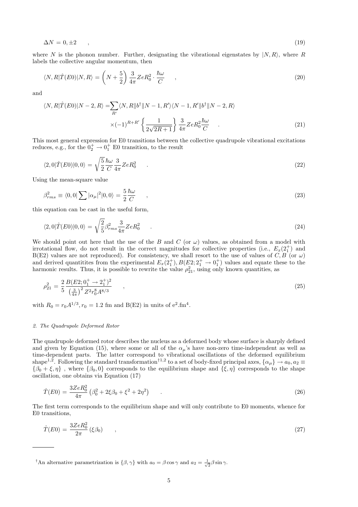$$
\Delta N = 0, \pm 2 \tag{19}
$$

where N is the phonon number. Further, designating the vibrational eigenstates by  $|N, R\rangle$ , where R labels the collective angular momentum, then

$$
\langle N, R|\hat{T}(E0)|N, R\rangle = \left(N + \frac{5}{2}\right)\frac{3}{4\pi}ZeR_0^2 \cdot \frac{\hbar\omega}{C}, \qquad (20)
$$

and

$$
\langle N, R|\hat{T}(E0)|N-2, R\rangle = \sum_{R'} \langle N, R||b^{\dagger}||N-1, R'\rangle \langle N-1, R'||b^{\dagger}||N-2, R\rangle
$$

$$
\times (-1)^{R+R'} \left\{ \frac{1}{2\sqrt{2R+1}} \right\} \frac{3}{4\pi} Z e R_0^2 \frac{\hbar \omega}{C} \tag{21}
$$

This most general expression for E0 transitions between the collective quadrupole vibrational excitations reduces, e.g., for the  $0_2^+ \rightarrow 0_1^+$  E0 transition, to the result

$$
\langle 2,0|\hat{T}(E0)|0,0\rangle = \sqrt{\frac{5}{2}} \frac{\hbar\omega}{C} \frac{3}{4\pi} Z e R_0^2 \qquad . \tag{22}
$$

Using the mean-square value

$$
\beta_{rms}^2 \equiv \langle 0, 0 | \sum |\alpha_{\mu}|^2 | 0, 0 \rangle = \frac{5}{2} \frac{\hbar \omega}{C} \qquad , \tag{23}
$$

this equation can be cast in the useful form,

$$
\langle 2,0|\hat{T}(E0)|0,0\rangle = \sqrt{\frac{2}{5}}\beta_{rms}^2 \frac{3}{4\pi}ZeR_0^2 \qquad .
$$
\n(24)

We should point out here that the use of the B and C (or  $\omega$ ) values, as obtained from a model with irrotational flow, do not result in the correct magnitudes for collective properties (i.e.,  $E_x(2_1^+)$ ) and B(E2) values are not reproduced). For consistency, we shall resort to the use of values of C, B (or  $\omega$ ) and derived quantitites from the experimental  $E_x(2_1^+), B(E_2^2; 2_1^+ \rightarrow 0_1^+)$  values and equate these to the harmonic results. Thus, it is possible to rewrite the value  $\rho_{21}^2$ , using only known quantities, as

$$
\rho_{21}^2 = \frac{2}{5} \frac{B(E2; 0_1^+ \to 2_1^+)^2}{\left(\frac{3}{4\pi}\right)^2 Z^2 r_0^8 A^{8/3}} \tag{25}
$$

with  $R_0 = r_0 A^{1/3}$ ,  $r_0 = 1.2$  fm and B(E2) in units of  $e^2$ .fm<sup>4</sup>.

#### 2. The Quadrupole Deformed Rotor

The quadrupole deformed rotor describes the nucleus as a deformed body whose surface is sharply defined and given by Equation (15), where some or all of the  $\alpha_{\mu}$ 's have non-zero time-independent as well as time-dependent parts. The latter correspond to vibrational oscillations of the deformed equilibrium shape<sup>1,2</sup>. Following the standard transformation<sup>†1,2</sup> to a set of body-fixed principal axes,  $\{\alpha_\mu\} \to a_0, a_2 \equiv$  ${\lbrace \beta_0 + \xi, \eta \rbrace}$ , where  ${\lbrace \beta_0, 0 \rbrace}$  corresponds to the equilibrium shape and  ${\lbrace \xi, \eta \rbrace}$  corresponds to the shape oscillation, one obtains via Equation (17)

$$
\hat{T}(E0) = \frac{3ZeR_0^2}{4\pi} \left(\beta_0^2 + 2\xi\beta_0 + \xi^2 + 2\eta^2\right) \tag{26}
$$

The first term corresponds to the equilibrium shape and will only contribute to E0 moments, whence for E0 transitions,

$$
\hat{T}(E0) = \frac{3ZeR_0^2}{2\pi} (\xi \beta_0) \tag{27}
$$

<sup>†</sup>An alternative parametrization is  $\{\beta, \gamma\}$  with  $a_0 = \beta \cos \gamma$  and  $a_2 = \frac{1}{\sqrt{2}} \beta \sin \gamma$ .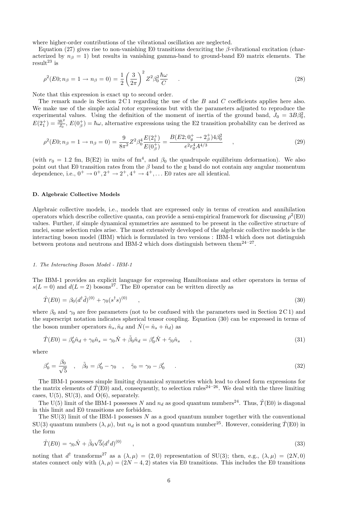where higher-order contributions of the vibrational oscillation are neglected.

Equation (27) gives rise to non-vanishing E0 transitions deexciting the  $\beta$ -vibrational excitation (characterized by  $n<sub>\beta</sub> = 1$ ) but results in vanishing gamma-band to ground-band E0 matrix elements. The result<sup>23</sup> is

$$
\rho^2(E0; n_\beta = 1 \to n_\beta = 0) = \frac{1}{2} \left(\frac{3}{2\pi}\right)^2 Z^2 \beta_0^2 \frac{\hbar \omega}{C} \quad . \tag{28}
$$

Note that this expression is exact up to second order.

The remark made in Section  $2C1$  regarding the use of the B and C coefficients applies here also. We make use of the simple axial rotor expressions but with the parameters adjusted to reproduce the experimental values. Using the definition of the moment of inertia of the ground band,  $J_0 = 3B\beta_0^2$ ,  $E(2_1^+) = \frac{3\hbar^2}{J_0}$ ,  $E(0_\beta^+) = \hbar\omega$ , alternative expressions using the E2 transition probability can be derived as

$$
\rho^2(E0; n_\beta = 1 \to n_\beta = 0) = \frac{9}{8\pi^2} Z^2 \beta_0^4 \frac{E(2_1^+)}{E(0_\beta^+)} = \frac{B(E2; 0_g^+ \to 2_\beta^+) 4\beta_0^2}{e^2 r_0^4 A^{4/3}} \quad , \tag{29}
$$

(with  $r_0 = 1.2$  fm, B(E2) in units of fm<sup>4</sup>, and  $\beta_0$  the quadrupole equilibrium deformation). We also point out that E0 transition rates from the  $\beta$  band to the g band do not contain any angular momentum dependence, i.e.,  $0^+ \rightarrow 0^+, 2^+ \rightarrow 2^+, 4^+ \rightarrow 4^+, \dots$  E0 rates are all identical.

## **D. Algebraic Collective Models**

Algebraic collective models, i.e., models that are expressed only in terms of creation and annihilation operators which describe collective quanta, can provide a semi-empirical framework for discussing  $\rho^2(E0)$ values. Further, if simple dynamical symmetries are assumed to be present in the collective structure of nuclei, some selection rules arise. The most extensively developed of the algebraic collective models is the interacting boson model (IBM) which is formulated in two versions : IBM-1 which does not distinguish between protons and neutrons and IBM-2 which does distinguish between them<sup>24–27</sup>.

#### 1. The Interacting Boson Model - IBM-1

The IBM-1 provides an explicit language for expressing Hamiltonians and other operators in terms of  $s(L = 0)$  and  $d(L = 2)$  bosons<sup>27</sup>. The E0 operator can be written directly as

$$
\hat{T}(E0) = \beta_0 (d^{\dagger} \tilde{d})^{(0)} + \gamma_0 (s^{\dagger} s)^{(0)} \tag{30}
$$

where  $\beta_0$  and  $\gamma_0$  are free parameters (not to be confused with the parameters used in Section 2 C 1) and the superscript notation indicates spherical tensor coupling. Equation (30) can be expressed in terms of the boson number operators  $\hat{n}_s, \hat{n}_d$  and  $\hat{N} = \hat{n}_s + \hat{n}_d$  as

$$
\hat{T}(E0) = \beta'_0 \hat{n}_d + \gamma_0 \hat{n}_s = \gamma_0 \hat{N} + \tilde{\beta}_0 \hat{n}_d = \beta'_0 \hat{N} + \tilde{\gamma}_0 \hat{n}_s \qquad ,
$$
\n(31)

where

$$
\beta'_0 = \frac{\beta_0}{\sqrt{5}} \quad , \quad \tilde{\beta}_0 = \beta'_0 - \gamma_0 \quad , \quad \tilde{\gamma}_0 = \gamma_0 - \beta'_0 \quad . \tag{32}
$$

The IBM-1 possesses simple limiting dynamical symmetries which lead to closed form expressions for the matrix elements of  $\hat{T}(\hat{E0})$  and, consequently, to selection rules<sup>24–26</sup>. We deal with the three limiting cases,  $U(5)$ ,  $SU(3)$ , and  $O(6)$ , separately.

The U(5) limit of the IBM-1 possesses N and  $n_d$  as good quantum numbers<sup>24</sup>. Thus,  $\hat{T}(E0)$  is diagonal in this limit and E0 transitions are forbidden.

The  $SU(3)$  limit of the IBM-1 possesses N as a good quantum number together with the conventional SU(3) quantum numbers  $(\lambda, \mu)$ , but  $n_d$  is not a good quantum number<sup>25</sup>. However, considering  $\hat{T}(\text{E0})$  in the form

$$
\hat{T}(E0) = \gamma_0 \hat{N} + \tilde{\beta}_0 \sqrt{5} (d^{\dagger} d)^{(0)} \tag{33}
$$

noting that  $d^{\dagger}$  transforms<sup>27</sup> as a  $(\lambda, \mu) = (2, 0)$  representation of SU(3); then, e.g.,  $(\lambda, \mu) = (2N, 0)$ states connect only with  $(\lambda, \mu) = (2N - 4, 2)$  states via E0 transitions. This includes the E0 transitions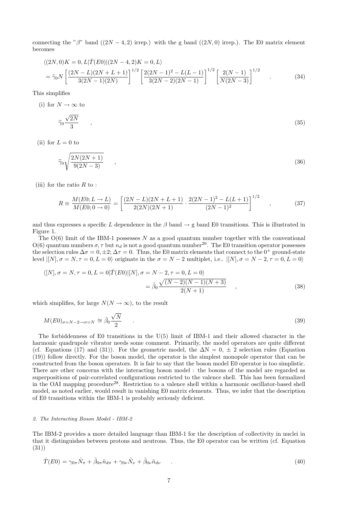connecting the "β" band  $((2N-4, 2)$  irrep.) with the g band  $((2N, 0)$  irrep.). The E0 matrix element becomes

$$
\langle (2N,0)K = 0, L|\hat{T}(E0)|(2N-4,2)K = 0,L\rangle
$$
  
=  $\tilde{\gamma}_0 N \left[ \frac{(2N-L)(2N+L+1)}{3(2N-1)(2N)} \right]^{1/2} \left[ \frac{2(2N-1)^2 - L(L-1)}{3(2N-2)(2N-1)} \right]^{1/2} \left[ \frac{2(N-1)}{N(2N-3)} \right]^{1/2}$  (34)

This simplifies

(i) for 
$$
N \to \infty
$$
 to

$$
\widetilde{\gamma}_0 \frac{\sqrt{2N}}{3} \qquad , \tag{35}
$$

(ii) for  $L = 0$  to

$$
\widetilde{\gamma}_0 \sqrt{\frac{2N(2N+1)}{9(2N-3)}} \qquad , \qquad (36)
$$

(iii) for the ratio  $R$  to:

$$
R = \frac{M(E0; L \to L)}{M(E0; 0 \to 0)} = \left[ \frac{(2N - L)(2N + L + 1)}{2(2N)(2N + 1)} \cdot \frac{2(2N - 1)^2 - L(L + 1)}{(2N - 1)^2} \right]^{1/2} \quad , \tag{37}
$$

and thus expresses a specific L dependence in the  $\beta$  band  $\rightarrow$  g band E0 transitions. This is illustrated in Figure 1.

The  $O(6)$  limit of the IBM-1 possesses N as a good quantum number together with the conventional  $O(6)$  quantum numbers  $\sigma$ ,  $\tau$  but  $n_d$  is not a good quantum number<sup>26</sup>. The E0 transition operator possesses the selection rules  $\Delta \sigma = 0, \pm 2; \Delta \tau = 0$ . Thus, the E0 matrix elements that connect to the 0<sup>+</sup> ground-state level  $|[N], \sigma = N, \tau = 0, L = 0$  originate in the  $\sigma = N - 2$  multiplet, i.e..  $|[N], \sigma = N - 2, \tau = 0, L = 0$ 

$$
\langle [N], \sigma = N, \tau = 0, L = 0 | \hat{T}(E0) | [N], \sigma = N - 2, \tau = 0, L = 0 \rangle
$$
  
= 
$$
\tilde{\beta}_0 \frac{\sqrt{(N-2)(N-1)(N+3)}}{2(N+1)}
$$
 (38)

which simplifies, for large  $N(N \to \infty)$ , to the result

$$
M(E0)_{\sigma=N-2\to\sigma=N} \cong \tilde{\beta}_0 \frac{\sqrt{N}}{2} \qquad . \tag{39}
$$

The forbiddenness of E0 transitions in the U(5) limit of IBM-1 and their allowed character in the harmonic quadrupole vibrator needs some comment. Primarily, the model operators are quite different (cf. Equations (17) and (31)). For the geometric model, the  $\Delta N = 0, \pm 2$  selection rules (Equation (19)) follow directly. For the boson model, the operator is the simplest monopole operator that can be constructed from the boson operators. It is fair to say that the boson model E0 operator is too simplistic. There are other concerns with the interacting boson model : the bosons of the model are regarded as superpositions of pair-correlated configurations restricted to the valence shell. This has been formalized in the OAI mapping procedure<sup>28</sup>. Restriction to a valence shell within a harmonic oscillator-based shell model, as noted earlier, would result in vanishing E0 matrix elements. Thus, we infer that the description of E0 transitions within the IBM-1 is probably seriously deficient.

#### 2. The Interacting Boson Model - IBM-2

The IBM-2 provides a more detailed language than IBM-1 for the description of collectivity in nuclei in that it distinguishes between protons and neutrons. Thus, the E0 operator can be written (cf. Equation (31))

$$
\hat{T}(E0) = \gamma_{0\pi}\hat{N}_{\pi} + \tilde{\beta}_{0\pi}\hat{n}_{d\pi} + \gamma_{0\nu}\hat{N}_{\nu} + \tilde{\beta}_{0\nu}\hat{n}_{d\nu} \qquad . \qquad (40)
$$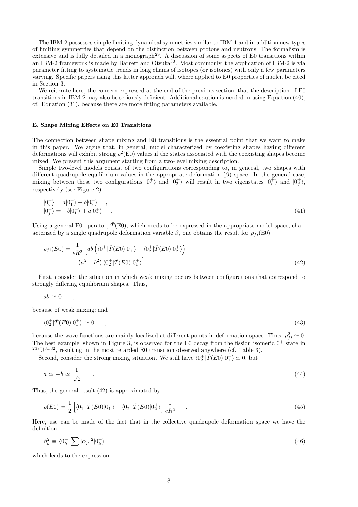The IBM-2 possesses simple limiting dynamical symmetries similar to IBM-1 and in addition new types of limiting symmetries that depend on the distinction between protons and neutrons. The formalism is extensive and is fully detailed in a monograph<sup>29</sup>. A discussion of some aspects of E0 transitions within an IBM-2 framework is made by Barrett and Otsuka<sup>30</sup>. Most commonly, the application of IBM-2 is via parameter fitting to systematic trends in long chains of isotopes (or isotones) with only a few parameters varying. Specific papers using this latter approach will, where applied to E0 properties of nuclei, be cited in Section 3.

We reiterate here, the concern expressed at the end of the previous section, that the description of E0 transitions in IBM-2 may also be seriously deficient. Additional caution is needed in using Equation (40), cf. Equation (31), because there are more fitting parameters available.

#### **E. Shape Mixing Effects on E0 Transitions**

The connection between shape mixing and E0 transitions is the essential point that we want to make in this paper. We argue that, in general, nuclei characterized by coexisting shapes having different deformations will exhibit strong  $\rho^2(E0)$  values if the states associated with the coexisting shapes become mixed. We present this argument starting from a two-level mixing description.

Simple two-level models consist of two configurations corresponding to, in general, two shapes with different quadrupole equilibrium values in the appropriate deformation  $(\beta)$  space. In the general case, mixing between these two configurations  $|0^+_1\rangle$  and  $|0^+_2\rangle$  will result in two eigenstates  $|0^+_i\rangle$  and  $|0^+_f\rangle$ , respectively (see Figure 2)

$$
|0_i^+\rangle = a|0_1^+\rangle + b|0_2^+\rangle ,
$$
  
\n
$$
|0_f^+\rangle = -b|0_1^+\rangle + a|0_2^+\rangle .
$$
\n(41)

Using a general E0 operator,  $\hat{T}(\text{E0})$ , which needs to be expressed in the appropriate model space, characterized by a single quadrupole deformation variable  $\beta$ , one obtains the result for  $\rho_{fi}(\text{E0})$ 

$$
\rho_{fi}(E0) = \frac{1}{eR^2} \left[ ab \left( \langle 0_1^+ | \hat{T}(E0) | 0_1^+ \rangle - \langle 0_2^+ | \hat{T}(E0) | 0_2^+ \rangle \right) + \left( a^2 - b^2 \right) \langle 0_2^+ | \hat{T}(E0) | 0_1^+ \rangle \right] \tag{42}
$$

First, consider the situation in which weak mixing occurs between configurations that correspond to strongly differing equilibrium shapes. Thus,

 $ab \simeq 0$ ,

because of weak mixing; and

$$
\langle 0_2^+|\hat{T}(E0)|0_1^+\rangle \simeq 0 \qquad , \qquad (43)
$$

because the wave functions are mainly localized at different points in deformation space. Thus,  $\rho_{fi}^2 \simeq 0$ . The best example, shown in Figure 3, is observed for the E0 decay from the fission isomeric  $0^+$  state in  $238U^{31,32}$ , resulting in the most retarded E0 transition observed anywhere (cf. Table 3).

Second, consider the strong mixing situation. We still have  $\langle 0_2^+ | \hat{T}(E0) | 0_1^+ \rangle \simeq 0$ , but

$$
a \simeq -b \simeq \frac{1}{\sqrt{2}} \tag{44}
$$

Thus, the general result (42) is approximated by

$$
\rho(E0) = \frac{1}{2} \left[ \langle 0_1^+ | \hat{T}(E0) | 0_1^+ \rangle - \langle 0_2^+ | \hat{T}(E0) | 0_2^+ \rangle \right] \frac{1}{eR^2} \tag{45}
$$

Here, use can be made of the fact that in the collective quadrupole deformation space we have the definition

$$
\beta_k^2 \equiv \langle 0_k^+ | \sum |\alpha_\mu|^2 | 0_k^+ \rangle \tag{46}
$$

which leads to the expression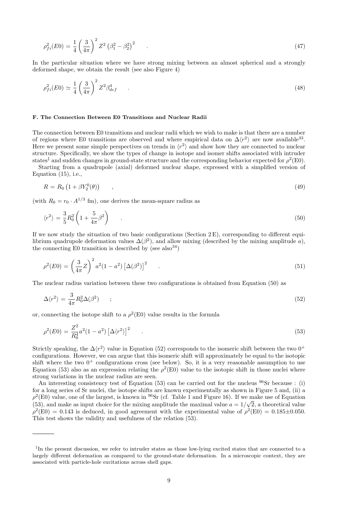$$
\rho_{fi}^2(E0) = \frac{1}{4} \left(\frac{3}{4\pi}\right)^2 Z^2 \left(\beta_1^2 - \beta_2^2\right)^2 \tag{47}
$$

In the particular situation where we have strong mixing between an almost spherical and a strongly deformed shape, we obtain the result (see also Figure 4)

$$
\rho_{fi}^2(E0) \simeq \frac{1}{4} \left(\frac{3}{4\pi}\right)^2 Z^2 \beta_{def}^4 \tag{48}
$$

#### **F. The Connection Between E0 Transitions and Nuclear Radii**

The connection between E0 transitions and nuclear radii which we wish to make is that there are a number of regions where E0 transitions are observed and where empirical data on  $\Delta \langle r^2 \rangle$  are now available<sup>33</sup>. Here we present some simple perspectives on trends in  $\langle r^2 \rangle$  and show how they are connected to nuclear structure. Specifically, we show the types of change in isotope and isomer shifts associated with intruder states<sup>‡</sup> and sudden changes in ground-state structure and the corresponding behavior expected for  $\rho^2(E0)$ .

Starting from a quadrupole (axial) deformed nuclear shape, expressed with a simplified version of Equation  $(15)$ , i.e.,

$$
R = R_0 \left( 1 + \beta Y_2^0(\theta) \right) \tag{49}
$$

(with  $R_0 = r_0 \cdot A^{1/3}$  fm), one derives the mean-square radius as

$$
\langle r^2 \rangle = \frac{3}{5} R_0^2 \left( 1 + \frac{5}{4\pi} \beta^2 \right) \tag{50}
$$

If we now study the situation of two basic configurations (Section  $2E$ ), corresponding to different equilibrium quadrupole deformation values  $\Delta(\beta^2)$ , and allow mixing (described by the mixing amplitude a), the connecting E0 transition is described by (see also  $34$ )

$$
\rho^2(E0) = \left(\frac{3}{4\pi}Z\right)^2 a^2 (1 - a^2) \left[\Delta(\beta^2)\right]^2 \tag{51}
$$

The nuclear radius variation between these two configurations is obtained from Equation (50) as

$$
\Delta \langle r^2 \rangle = \frac{3}{4\pi} R_0^2 \Delta (\beta^2) \qquad ; \tag{52}
$$

or, connecting the isotope shift to a  $\rho^2(E0)$  value results in the formula

$$
\rho^2(E0) = \frac{Z^2}{R_0^4} a^2 (1 - a^2) \left[ \Delta \langle r^2 \rangle \right]^2 \tag{53}
$$

Strictly speaking, the  $\Delta\langle r^2 \rangle$  value in Equation (52) corresponds to the isomeric shift between the two 0<sup>+</sup> configurations. However, we can argue that this isomeric shift will approximately be equal to the isotopic shift where the two  $0^+$  configurations cross (see below). So, it is a very reasonable assumption to use Equation (53) also as an expression relating the  $\rho^2(E0)$  value to the isotopic shift in those nuclei where strong variations in the nuclear radius are seen.

An interesting consistency test of Equation (53) can be carried out for the nucleus  $96$ Sr because : (i) for a long series of Sr nuclei, the isotope shifts are known experimentally as shown in Figure 5 and, (ii) a  $\rho^2(E0)$  value, one of the largest, is known in <sup>96</sup>Sr (cf. Table 1 and Figure 16). If we make use of Equation (53), and make as input choice for the mixing amplitude the maximal value  $a = 1/\sqrt{2}$ , a theoretical value  $\rho^2(E0) = 0.143$  is deduced, in good agreement with the experimental value of  $\rho^2(E0) = 0.185 \pm 0.050$ . This test shows the validity and usefulness of the relation (53).

<sup>‡</sup>In the present discussion, we refer to intruder states as those low-lying excited states that are connected to a largely different deformation as compared to the ground-state deformation. In a microscopic context, they are associated with particle-hole excitations across shell gaps.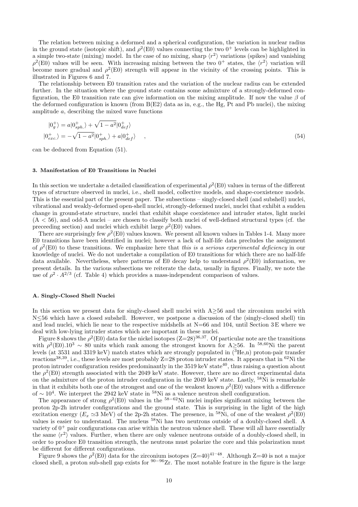The relation between mixing a deformed and a spherical configuration, the variation in nuclear radius in the ground state (isotopic shift), and  $\rho^2(E0)$  values connecting the two  $0^+$  levels can be highlighted in a simple two-state (mixing) model. In the case of no mixing, sharp  $\langle r^2 \rangle$  variations (spikes) and vanishing  $\rho^2(E0)$  values will be seen. With increasing mixing between the two 0<sup>+</sup> states, the  $\langle r^2 \rangle$  variation will become more gradual and  $\rho^2(E0)$  strength will appear in the vicinity of the crossing points. This is illustrated in Figures 6 and 7.

The relationship between E0 transition rates and the variation of the nuclear radius can be extended further. In the situation where the ground state contains some admixture of a strongly-deformed configuration, the E0 transition rate can give information on the mixing amplitude. If now the value  $\beta$  of the deformed configuration is known (from  $B(E2)$  data as in, e.g., the Hg, Pt and Pb nuclei), the mixing amplitude a, describing the mixed wave functions

$$
|0_g^+\rangle = a|0_{sph.}^+\rangle + \sqrt{1 - a^2}|0_{def}^+\rangle
$$
  

$$
|0_{exc.}^+\rangle = -\sqrt{1 - a^2}|0_{sph.}^+\rangle + a|0_{def}^+\rangle , \qquad (54)
$$

can be deduced from Equation (51).

#### **3. Manifestation of E0 Transitions in Nuclei**

In this section we undertake a detailed classification of experimental  $\rho^2(E0)$  values in terms of the different types of structure observed in nuclei, i.e., shell model, collective models, and shape-coexistence models. This is the essential part of the present paper. The subsections – singly-closed shell (and subshell) nuclei, vibrational and weakly-deformed open-shell nuclei, strongly-deformed nuclei, nuclei that exhibit a sudden change in ground-state structure, nuclei that exhibit shape coexistence and intruder states, light nuclei  $(A < 56)$ , and odd-A nuclei – are chosen to classify both nuclei of well-defined structural types (cf. the preceeding section) and nuclei which exhibit large  $\rho^2(E0)$  values.

There are surprisingly few  $\rho^2(E0)$  values known. We present all known values in Tables 1-4. Many more E0 transitions have been identified in nuclei; however a lack of half-life data precludes the assignment of  $\rho^2(E0)$  to these transitions. We emphasize here that this is a serious experimental deficiency in our knowledge of nuclei. We do not undertake a compilation of E0 transitions for which there are no half-life data available. Nevertheless, where patterns of E0 decay help to understand  $\rho^2(E0)$  information, we present details. In the various subsections we reiterate the data, usually in figures. Finally, we note the use of  $\rho^2 \cdot A^{2/3}$  (cf. Table 4) which provides a mass-independent comparison of values.

#### **A. Singly-Closed Shell Nuclei**

In this section we present data for singly-closed shell nuclei with A≥56 and the zirconium nuclei with N<56 which have a closed subshell. However, we postpone a discussion of the (singly-closed shell) tin and lead nuclei, which lie near to the respective midshells at  $N=66$  and 104, until Section 3 E where we deal with low-lying intruder states which are important in these nuclei.

Figure 8 shows the  $\rho^2(E0)$  data for the nickel isotopes  $(Z=28)^{36,37}$ . Of particular note are the transitions with  $\rho^2(E0)$ .10<sup>3</sup> ∼ 80 units which rank among the strongest known for A≥56. In <sup>58,60</sup>Ni the parent levels (at 3531 and 3319 keV) match states which are strongly populated in (<sup>3</sup>He,n) proton-pair transfer reactions<sup>38,39</sup>, i.e., these levels are most probably  $Z=28$  proton intruder states. It appears that in <sup>62</sup>Ni the proton intruder configuration resides predominantly in the 3519 keV state<sup>40</sup>, thus raising a question about the  $\rho^2(E0)$  strength associated with the 2049 keV state. However, there are no direct experimental data on the admixture of the proton intruder configuration in the 2049 keV state. Lastly, <sup>58</sup>Ni is remarkable in that it exhibits both one of the strongest and one of the weakest known  $\rho^2(E0)$  values with a difference of ∼ 10<sup>4</sup>. We interpret the 2942 keV state in <sup>58</sup>Ni as a valence neutron shell configuration.

The appearance of strong  $\rho^2(E0)$  values in the <sup>58–62</sup>Ni nuclei implies significant mixing between the proton 2p-2h intruder configurations and the ground state. This is surprising in the light of the high excitation energy  $(E_x \simeq 3 \text{ MeV})$  of the 2p-2h states. The presence, in <sup>58</sup>Ni, of one of the weakest  $\rho^2(E0)$ values is easier to understand. The nucleus <sup>58</sup>Ni has two neutrons outside of a doubly-closed shell. A variety of  $0^+$  pair configurations can arise within the neutron valence shell. These will all have essentially the same  $\langle r^2 \rangle$  values. Further, when there are only valence neutrons outside of a doubly-closed shell, in order to produce E0 transition strength, the neutrons must polarize the core and this polarization must be different for different configurations.

Figure 9 shows the  $\rho^2(E0)$  data for the zirconium isotopes  $(Z=40)^{41-48}$ . Although Z=40 is not a major closed shell, a proton sub-shell gap exists for  $90-96$  Zr. The most notable feature in the figure is the large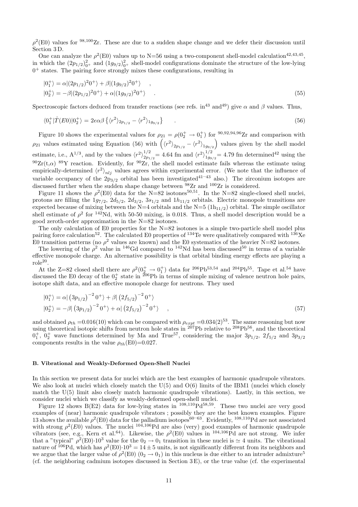$\rho^2(E0)$  values for <sup>98,100</sup>Zr. These are due to a sudden shape change and we defer their discussion until Section 3 D.

One can analyze the  $\rho^2(E0)$  values up to N=56 using a two-component shell-model calculation<sup>42,43,45</sup>, in which the  $(2p_{1/2})_{0^+}^2$  and  $(1g_{9/2})_{0^+}^2$  shell-model configurations dominate the structure of the low-lying  $0^+$  states. The pairing force strongly mixes these configurations, resulting in

$$
|0_{1}^{+}\rangle = \alpha|(2p_{1/2})^{2}0^{+}\rangle + \beta|(1g_{9/2})^{2}0^{+}\rangle ,
$$
  
\n
$$
|0_{2}^{+}\rangle = -\beta|(2p_{1/2})^{2}0^{+}\rangle + \alpha|(1g_{9/2})^{2}0^{+}\rangle .
$$
\n(55)

Spectroscopic factors deduced from transfer reactions (see refs. in<sup>43</sup> and<sup>49</sup>) give  $\alpha$  and  $\beta$  values. Thus,

$$
\langle 0_1^+|\hat{T}(E0)|0_2^+\rangle = 2e\alpha\beta \left\{ \langle r^2\rangle_{2p_{1/2}} - \langle r^2\rangle_{1g_{9/2}} \right\} \tag{56}
$$

Figure 10 shows the experimental values for  $\rho_{21} = \rho(0_2^+ \to 0_1^+)$  for  $\frac{90,92,94,96}{2}$  and comparison with  $\rho_{21}$  values estimated using Equation (56) with  $(\langle r^2 \rangle_{2p_{1/2}} - \langle r^2 \rangle_{1g_{9/2}})$  values given by the shell model estimate, i.e.,  $A^{1/3}$ , and by the values  $\langle r^2 \rangle_{2n}^{1/2}$  $t_{2p_{1/2}}^{1/2}$  = 4.64 fm and  $\langle r^2 \rangle_{1g_{9/2}}^{1/2}$  = 4.79 fm determined<sup>42</sup> using the  $90Zr(t,\alpha)$   $89Y$  reaction. Evidently, for  $90Zr$ , the shell model estimate fails whereas the estimate using empirically-determined  $\langle r^2 \rangle_{nlj}$  values agrees within experimental error. (We note that the influence of variable occupancy of the  $2p_{3/2}$  orbital has been investigated<sup>41–43</sup> also.) The zirconium isotopes are discussed further when the sudden shape change between  $^{98}Zr$  and  $^{100}Zr$  is considered.

Figure 11 shows the  $\rho^2(E0)$  data for the N=82 isotones<sup>50,51</sup>. In the N=82 single-closed shell nuclei, protons are filling the  $1g_{7/2}$ ,  $2d_{5/2}$ ,  $2d_{3/2}$ ,  $3s_{1/2}$  and  $1h_{11/2}$  orbitals. Electric monopole transitions are expected because of mixing between the N=4 orbitals and the N=5  $(1h_{11/2})$  orbital. The simple oscillator shell estimate of  $\rho^2$  for <sup>142</sup>Nd, with 50-50 mixing, is 0.018. Thus, a shell model description would be a good zeroth-order approximation in the N=82 isotones.

The only calculation of E0 properties for the N=82 isotones is a simple two-particle shell model plus pairing force calculation<sup>52</sup>. The calculated E0 properties of <sup>134</sup>Te were qualitatively compared with <sup>136</sup>Xe E0 transition patterns (no  $\rho^2$  values are known) and the E0 systematics of the heavier N=82 isotones.

The lowering of the  $\rho^2$  value in <sup>146</sup>Gd compared to <sup>142</sup>Nd has been discussed<sup>50</sup> in terms of a variable effective monopole charge. An alternative possibility is that orbital binding energy effects are playing a  $role<sup>20</sup>$ .

At the Z=82 closed shell there are  $\rho^2(\frac{0^+}{2})$  data for <sup>206</sup>Pb<sup>53,54</sup> and <sup>204</sup>Pb<sup>55</sup>. Tape et al.<sup>54</sup> have discussed the E0 decay of the  $0^+_2$  state in <sup>206</sup>Pb in terms of simple mixing of valence neutron hole pairs, isotope shift data, and an effective monopole charge for neutrons. They used

$$
|0_{1}^{+}\rangle = \alpha | (3p_{1/2})^{-2} 0^{+}\rangle + \beta | (2f_{5/2})^{-2} 0^{+}\rangle
$$
  
\n
$$
|0_{2}^{+}\rangle = -\beta | (3p_{1/2})^{-2} 0^{+}\rangle + \alpha | (2f_{5/2})^{-2} 0^{+}\rangle , \qquad (57)
$$

and obtained  $\rho_{th} = 0.016(10)$  which can be compared with  $\rho_{expt} = 0.034(2)^{53}$ . The same reasoning but now using theoretical isotopic shifts from neutron hole states in  $^{207}Pb$  relative to  $^{208}Pb^{56}$ , and the theoretical  $0_1^+$ ,  $0_2^+$  wave functions determined by Ma and True<sup>57</sup>, considering the major  $3p_{1/2}$ ,  $2f_{5/2}$  and  $3p_{3/2}$ components results in the value  $\rho_{th}(\text{E0})=0.027$ .

#### **B. Vibrational and Weakly-Deformed Open-Shell Nuclei**

In this section we present data for nuclei which are the best examples of harmonic quadrupole vibrators. We also look at nuclei which closely match the  $U(5)$  and  $O(6)$  limits of the IBM1 (nuclei which closely match the U(5) limit also closely match harmonic quadrupole vibrations). Lastly, in this section, we consider nuclei which we classify as weakly-deformed open-shell nuclei.

Figure 12 shows B(E2) data for low-lying states in <sup>108,110</sup>Pd<sup>58,59</sup>. These two nuclei are very good examples of (near) harmonic quadrupole vibrators ; possibly they are the best known examples. Figure 13 shows the available  $\rho^2(E0)$  data for the palladium isotopes<sup>60–63</sup>. Evidently, <sup>108,110</sup>Pd are not associated with strong  $\rho^2(E0)$  values. The nuclei  $10^{\frac{3}{106}}Pd$  are also (very) good examples of harmonic quadrupole vibrators (see, e.g., Kern et al.<sup>64</sup>). Likewise, the  $\rho^2(E0)$  values in <sup>104,106</sup>Pd are not strong. We infer that a "typical"  $\rho^2(E0) \cdot 10^3$  value for the  $0_2 \to 0_1$  transition in these nuclei is  $\simeq 4$  units. The vibrational nature of <sup>106</sup>Pd, which has  $\rho^2(E0) \cdot 10^3 = 14 \pm 5$  units, is not significantly different from its neighbors and we argue that the larger value of  $\rho^2(E0)$  ( $0_2 \to 0_1$ ) in this nucleus is due either to an intruder admixture<sup>5</sup> (cf. the neighboring cadmium isotopes discussed in Section 3 E), or the true value (cf. the experimental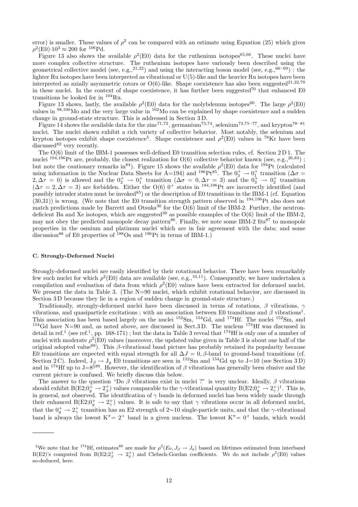error) is smaller. These values of  $\rho^2$  can be compared with an estimate using Equation (25) which gives  $\rho^2(E0) \cdot 10^3 \approx 200$  for  $^{106}Pd$ .

Figure 13 also shows the available  $\rho^2(E0)$  data for the ruthenium isotopes<sup>65,66</sup>. These nuclei have more complex collective structure. The ruthenium isotopes have variously been described using the geometrical collective model (see, e.g.,<sup>21,22</sup>) and using the interacting boson model (see, e.g.,<sup>66–69</sup>) : the lighter Ru isotopes have been interpreted as vibrational or U(5)-like and the heavier Ru isotopes have been interpreted as axially asymmetric rotors or  $O(6)$ -like. Shape coexistence has also been suggested<sup>21,22,70</sup> in these nuclei. In the context of shape coexistence, it has further been suggested<sup>70</sup> that enhanced E0 transitions be looked for in <sup>104</sup>Ru.

Figure 13 shows, lastly, the available  $\rho^2(E0)$  data for the molybdenum isotopes<sup>60</sup>. The large  $\rho^2(E0)$ values in <sup>98,100</sup>Mo and the very large value in <sup>102</sup>Mo can be explained by shape coexistence and a sudden change in ground-state structure. This is addressed in Section 3 D.

Figure 14 shows the available data for the zinc<sup>71,72</sup>, germanium<sup>73,74</sup>, selenium<sup>73,75–77</sup>, and krypton<sup>78–81</sup> nuclei. The nuclei shown exhibit a rich variety of collective behavior. Most notably, the selenium and krypton isotopes exhibit shape coexistence<sup>5</sup>. Shape coexistence and  $\rho^2(E0)$  values in <sup>78</sup>Kr have been discussed $82$  very recently.

The O(6) limit of the IBM-1 possesses well-defined E0 transition selection rules, cf. Section 2 D 1. The nuclei  $^{194,196}$ Pt are, probably, the closest realization for O(6) collective behavior known (see, e.g.,<sup>26,83</sup>); but note the cautionary remarks in<sup>84</sup>). Figure 15 shows the available  $\rho^2(E0)$  data for <sup>194</sup>Pt (calculated using information in the Nuclear Data Sheets for A=194) and <sup>196</sup>Pt<sup>85</sup>. The  $0_3^+ \to 0_1^+$  transition ( $\Delta \sigma$  =  $(2,\Delta \tau = 0)$  is allowed and the  $0^+_2 \rightarrow 0^+_1$  transition  $(\Delta \sigma = 0, \Delta \tau = 3)$  and the  $0^+_3 \rightarrow 0^+_2$  transition  $(\Delta \tau = 2, \Delta \tau = 3)$  are forbidden. Either the O(6) 0<sup>+</sup> states in <sup>194,196</sup>Pt are incorrectly identified (and possibly intruder states must be invoked<sup>85</sup>) or the description of E0 transitions in the IBM-1 (cf. Equation  $(30,31)$ ) is wrong. (We note that the E0 transition strength pattern observed in <sup>194,196</sup>Pt also does not match predictions made by Barrett and Otsuka<sup>30</sup> for the  $\tilde{O}(6)$  limit of the IBM-2. Further, the neutrondeficient Ba and Xe isotopes, which are suggested<sup>30</sup> as possible examples of the  $O(6)$  limit of the IBM-2, may not obey the predicted monopole decay pattern<sup>86</sup>. Finally, we note some IBM-2 fits<sup>87</sup> to monopole properties in the osmium and platinum nuclei which are in fair agreement with the data; and some discussion<sup>88</sup> of E0 properties of  $^{188}Os$  and  $^{196}Pt$  in terms of IBM-1.)

#### **C. Strongly-Deformed Nuclei**

Strongly-deformed nuclei are easily identified by their rotational behavior. There have been remarkably few such nuclei for which  $\rho^2(E0)$  data are available (see, e.g.,<sup>10,11</sup>). Consequently, we have undertaken a compilation and evaluation of data from which  $\rho^2(E0)$  values have been extracted for deformed nuclei. We present the data in Table 3. (The  $N=90$  nuclei, which exhibit rotational behavior, are discussed in Section 3 D because they lie in a region of sudden change in ground-state structure.)

Traditionally, strongly-deformed nuclei have been discussed in terms of rotations,  $\beta$  vibrations,  $\gamma$ vibrations, and quasiparticle excitations; with an association between E0 transitions and  $\beta$  vibrations<sup>1</sup>. This association has been based largely on the nuclei <sup>152</sup>Sm, <sup>154</sup>Gd, and <sup>174</sup>Hf. The nuclei <sup>152</sup>Sm, and <sup>154</sup>Gd have N=90 and, as noted above, are discussed in Sect.3 D. The nucleus  $^{174}$ Hf was discussed in detail in ref.<sup>1</sup> (see ref.<sup>1</sup>, pp. 168-171); but the data in Table 3 reveal that <sup>174</sup>Hf is only one of a number of nuclei with moderate  $\rho^2(E0)$  values (moreover, the updated value given in Table 3 is about one half of the original adopted value<sup>89</sup>). This  $\beta$ -vibrational band picture has probably retained its popularity because E0 transitions are expected with equal strength for all  $\Delta J = 0$ ,  $\beta$ -band to ground-band transitions (cf. Section 2 C). Indeed,  $J_\beta \rightarrow J_g$  E0 transitions are seen in <sup>152</sup>Sm and <sup>154</sup>Gd up to J=10 (see Section 3 D) and in <sup>174</sup>Hf up to J=8<sup>§89</sup>. However, the identification of  $\beta$  vibrations has generally been elusive and the current picture is confused. We briefly discuss this below.

The answer to the question "Do  $\beta$  vibrations exist in nuclei ?" is very unclear. Ideally,  $\beta$  vibrations should exhibit  $B(E2;0^+_g \to 2^+_g)$  values comparable to the  $\gamma$ -vibrational quantity  $B(E2;0^+_g \to 2^+_\gamma)^1$ . This is, in general, not observed. The identification of  $\gamma$  bands in deformed nuclei has been widely made through their enhanced  $B(E2; 0^+_g \rightarrow 2^+_g)$  values. It is safe to say that  $\gamma$  vibrations occur in all deformed nuclei, that the  $0^+_g \to 2^+_q$  transition has an E2 strength of 2∼10 single-particle units, and that the  $\gamma$ -vibrational band is always the lowest  $K^{\pi}$  = 2<sup>+</sup> band in a given nucleus. The lowest  $K^{\pi}$  = 0<sup>+</sup> bands, which would

<sup>&</sup>lt;sup>§</sup>We note that for <sup>174</sup>Hf, estimates<sup>89</sup> are made for  $\rho^2(E_0, J_\beta \to J_g)$  based on lifetimes estimated from interband B(E2;2<sup>+</sup>  $\to 2^+_g$ ) and Clebsch-Gordan coefficients. We do not include  $\rho^2(E_0)$  values so-deduced, here.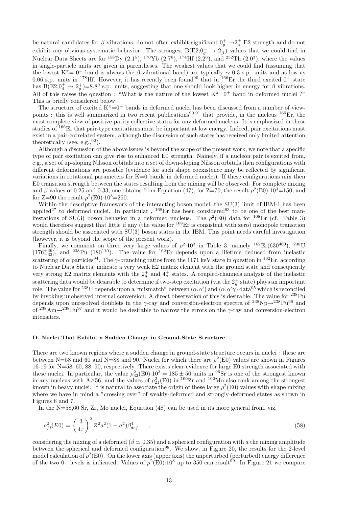be natural candidates for  $\beta$  vibrations, do not often exhibit significant  $0^+_g \rightarrow 2^+_\beta$  E2 strength and do not exhibit any obvious systematic behavior. The strongest  $B(E2; 0<sub>g</sub><sup>+</sup> \to 2<sub>\beta</sub><sup>+</sup>)$  values that we could find in Nuclear Data Sheets are for <sup>158</sup>Dy  $(2.1^5)$ , <sup>170</sup>Yb  $(2.7^6)$ , <sup>174</sup>Hf  $(2.2^6)$ , and <sup>232</sup>Th  $(2.0^3)$ , where the values in single-particle units are given in parentheses. The weakest values that we could find (assuming that the lowest K<sup> $\pi$ </sup> = 0<sup>+</sup> band is always the β-vibrational band) are typically ~ 0.3 s.p. units and as low as 0.06 s.p. units in <sup>178</sup>Hf. However, it has recently been found<sup>90</sup> that in <sup>166</sup>Er the third excited 0<sup>+</sup> state has B(E2; $0_4^+ \rightarrow 2_9^+$ )=8.8<sup>9</sup> s.p. units, suggesting that one should look higher in energy for  $\beta$  vibrations. All of this raises the question : "What is the nature of the lowest  $K^{\pi}=0^{+}$  band in deformed nuclei ?" This is briefly considered below.

The structure of excited  $K^{\pi}=0^{+}$  bands in deformed nuclei has been discussed from a number of viewpoints : this is well summarized in two recent publications<sup>90,91</sup> that provide, in the nucleus  $^{166}Er$ , the most complete view of positive-parity collective states for any deformed nucleus. It is emphasized in these studies of <sup>166</sup>Er that pair-type excitations must be important at low energy. Indeed, pair excitations must exist in a pair-correlated system, although the discussion of such states has received only limited attention theoretically (see, e.g.,  $92$ ).

Although a discussion of the above issues is beyond the scope of the present work, we note that a specific type of pair excitation can give rise to enhanced E0 strength. Namely, if a nucleon pair is excited from, e.g., a set of up-sloping Nilsson orbitals into a set of down-sloping Nilsson orbitals then configurations with different deformations are possible (evidence for such shape coexistence may be reflected by significant variations in rotational parameters for  $K=0$  bands in deformed nuclei). If these configurations mix then E0 transition strength between the states resulting from the mixing will be observed. For complete mixing and β values of 0.25 and 0.33, one obtains from Equation (47), for  $Z=70$ , the result  $\rho^2(E0)\cdot 10^3=150$ , and for Z=90 the result  $\rho^2(E0) \cdot 10^3 = 250$ .

Within the descriptive framework of the interacting boson model, the SU(3) limit of IBM-1 has been applied<sup>27</sup> to deformed nuclei. In particular,  $^{168}$ Er has been considered<sup>93</sup> to be one of the best manifestations of SU(3) boson behavior in a deformed nucleus. The  $\rho^2(E0)$  data for <sup>168</sup>Er (cf. Table 3) would therefore suggest that little if any (the value for <sup>168</sup>Er is consistent with zero) monopole transition strength should be associated with  $SU(3)$  boson states in the IBM. This point needs careful investigation (however, it is beyond the scope of the present work).

Finally, we comment on three very large values of  $\rho^2$ -10<sup>3</sup> in Table 3, namely <sup>162</sup>Er(630<sup>460</sup>), <sup>238</sup>U  $(176^{+36}_{-32})$ , and <sup>238</sup>Pu  $(180^{110})$ . The value for <sup>162</sup>Er depends upon a lifetime deduced from inelastic scattering of  $\alpha$  particles<sup>94</sup>. The  $\gamma$ -branching ratios from the 1171 keV state in question in <sup>162</sup>Er, according to Nuclear Data Sheets, indicate a very weak E2 matrix element with the ground state and consequently very strong E2 matrix elements with the  $2^+_g$  and  $4^+_g$  states. A coupled-channels analysis of the inelastic scattering data would be desirable to determine if two-step excitation (via the  $2^+_g$  state) plays an important role. The value for <sup>238</sup>U depends upon a "mismatch" between  $(\alpha, \alpha')$  and  $(\alpha, \alpha' \gamma)$  data<sup>95</sup> which is reconciled by invoking unobserved internal conversion. A direct observation of this is desirable. The value for <sup>238</sup>Pu depends upon unresolved doublets in the  $\gamma$ -ray and conversion-electron spectra of <sup>238</sup>Np $\rightarrow$ <sup>238</sup>Pu<sup>96</sup> and of  $^{238}\text{Am} \rightarrow ^{238}\text{Pu}^{97}$  and it would be desirable to narrow the errors on the  $\gamma$ -ray and conversion-electron intensities.

#### **D. Nuclei That Exhibit a Sudden Change in Ground-State Structure**

There are two known regions where a sudden change in ground-state structure occurs in nuclei : these are between N=58 and 60 and N=88 and 90. Nuclei for which there are  $\rho^2(E0)$  values are shown in Figures 16-19 for N=58, 60, 88, 90, respectively. There exists clear evidence for large E0 strength associated with these nuclei. In particular, the value  $\rho_{32}^2(E0) \cdot 10^3 = 185 \pm 50$  units in <sup>96</sup>Sr is one of the strongest known in any nucleus with A≥56; and the values of  $\rho_{21}^2(E0)$  in <sup>100</sup>Zr and <sup>102</sup>Mo also rank among the strongest known in heavy nuclei. It is natural to associate the origin of these large  $\rho^2(E0)$  values with shape mixing where we have in mind a "crossing over" of weakly-deformed and strongly-deformed states as shown in Figures 6 and 7.

In the N=58,60 Sr, Zr, Mo nuclei, Equation (48) can be used in its more general from, viz.

$$
\rho_{fi}^2(E0) = \left(\frac{3}{4\pi}\right)^2 Z^2 a^2 (1 - a^2) \beta_{def}^4 \tag{58}
$$

considering the mixing of a deformed ( $\beta \simeq 0.35$ ) and a spherical configuration with a the mixing amplitude between the spherical and deformed configuration<sup>98</sup>. We show, in Figure 20, the results for the 2-level model calculation of  $\rho^2(E0)$ . On the lower axis (upper axis) the unperturbed (perturbed) energy difference of the two 0<sup>+</sup> levels is indicated. Values of  $\rho^2(E0)$  10<sup>3</sup> up to 350 can result<sup>99</sup>. In Figure 21 we compare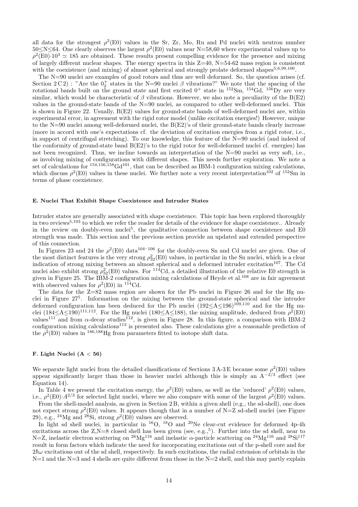all data for the strongest  $\rho^2(E0)$  values in the Sr, Zr, Mo, Ru and Pd nuclei with neutron number  $50\le N\le 64$ . One clearly observes the largest  $\rho^2(E0)$  values near N=58,60 where experimental values up to  $\rho^2(E0) \cdot 10^3 \simeq 185$  are obtained. These results present compelling evidence for the presence and mixing of largely different nuclear shapes. The energy spectra in this Z=40, N=54-62 mass region is consistent with the coexistence (and mixing) of almost spherical and strongly prolate deformed shapes $5,6,99,100$ .

The N=90 nuclei are examples of good rotors and thus are well deformed. So, the question arises (cf. Section 2 C 2) : "Are the  $0^+_2$  states in the N=90 nuclei  $\beta$  vibrations?" We note that the spacing of the rotational bands built on the ground state and first excited  $0^+$  state in  $^{152}Sm$ ,  $^{154}Gd$ ,  $^{156}Dy$  are very similar, which would be characteristic of  $\beta$  vibrations. However, we also note a peculiarity of the B(E2) values in the ground-state bands of the N=90 nuclei, as compared to other well-deformed nuclei. This is shown in Figure 22. Usually, B(E2) values for ground-state bands of well-deformed nuclei are, within experimental error, in agreement with the rigid rotor model (unlike excitation energies!) However, unique to the N=90 nuclei among well-deformed nuclei, the B(E2)'s of their ground-state bands clearly increase (more in accord with one's expectations cf. the deviation of excitation energies from a rigid rotor, i.e., in support of centrifugal stretching). To our knowledge, this feature of the N=90 nuclei (and indeed of the conformity of ground-state band B(E2)'s to the rigid rotor for well-deformed nuclei cf. energies) has not been recognized. Thus, we incline towards an interpretation of the N=90 nuclei as very soft, i.e., as involving mixing of configurations with different shapes. This needs further exploration. We note a set of calculations for <sup>154,156,158</sup>Gd<sup>101</sup>, that can be described as IBM-1 configuration mixing calculations, which discuss  $\rho^2(E0)$  values in these nuclei. We further note a very recent interpretation<sup>102</sup> of <sup>152</sup>Sm in terms of phase coexistence.

#### **E. Nuclei That Exhibit Shape Coexistence and Intruder States**

Intruder states are generally associated with shape coexistence. This topic has been explored thoroughly in two reviews<sup>5,103</sup> to which we refer the reader for details of the evidence for shape coexistence.. Already in the review on doubly-even nuclei<sup>5</sup>, the qualitative connection between shape coexistence and E0 strength was made. This section and the previous section provide an updated and extended perspective of this connection.

In Figures 23 and 24 the  $\rho^2(E0)$  data<sup>104–106</sup> for the doubly-even Sn and Cd nuclei are given. One of the most distinct features is the very strong  $\rho_{32}^2(E0)$  values, in particular in the Sn nuclei, which is a clear indication of strong mixing between an almost spherical and a deformed intruder excitation<sup>107</sup>. The Cd nuclei also exhibit strong  $\rho_{32}^2(E0)$  values. For <sup>114</sup>Cd, a detailed illustration of the relative E0 strength is given in Figure 25. The IBM-2 configuration mixing calculations of Heyde et al.<sup>108</sup> are in fair agreement with observed values for  $\rho^2(E0)$  in <sup>114</sup>Cd.

The data for the  $Z=82$  mass region are shown for the Pb nuclei in Figure 26 and for the Hg nuclei in Figure 27<sup>5</sup>. Information on the mixing between the ground-state spherical and the intruder deformed configuration has been deduced for the Pb nuclei  $(192 < A < 196)^{109,110}$  and for the Hg nuclei  $(184\leq A\leq 190)^{111,112}$ . For the Hg nuclei  $(180\leq A\leq 188)$ , the mixing amplitude, deduced from  $\rho^2(E0)$ values<sup>111</sup> and from  $\alpha$ -decay studies<sup>112</sup>, is given in Figure 28. In this figure, a comparison with IBM-2 configuration mixing calculations<sup>113</sup> is presented also. These calculations give a reasonable prediction of the  $\rho^2(E0)$  values in <sup>186,188</sup>Hg from parameters fitted to isotope shift data.

#### **F. Light Nuclei (A** < **56)**

We separate light nuclei from the detailed classifications of Sections 3 A-3 E because some  $\rho^2(E0)$  values appear significantly larger than those in heavier nuclei although this is simply an  $A^{-2/3}$  effect (see Equation 14).

In Table 4 we present the excitation energy, the  $\rho^2(E0)$  values, as well as the 'reduced'  $\rho^2(E0)$  values, i.e.,  $\rho^2(E0) \cdot A^{2/3}$  for selected light nuclei, where we also compare with some of the largest  $\rho^2(E0)$  values.

From the shell-model analysis, as given in Section 2 B, within a given shell (e.g., the sd-shell), one does not expect strong  $\rho^2(E0)$  values. It appears though that in a number of N=Z sd-shell nuclei (see Figure 29), e.g., <sup>24</sup>Mg and <sup>28</sup>Si, strong  $\rho^2(E0)$  values are observed.

In light sd shell nuclei, in particular in  $^{16}O$ ,  $^{18}O$  and  $^{20}Ne$  clear-cut evidence for deformed 4p-4h excitations across the  $Z$ ,N=8 closed shell has been given (see, e.g.,<sup>5</sup>). Further into the sd shell, near to N=Z, inelastic electron scattering on <sup>26</sup>Mg<sup>116</sup> and inelastic  $\alpha$ -particle scattering on <sup>24</sup>Mg<sup>116</sup> and <sup>28</sup>Si<sup>117</sup> result in form factors which indicate the need for incorporating excitations out of the p-shell core and for  $2\hbar\omega$  excitations out of the sd shell, respectively. In such excitations, the radial extension of orbitals in the  $N=1$  and the N=3 and 4 shells are quite different from those in the N=2 shell, and this may partly explain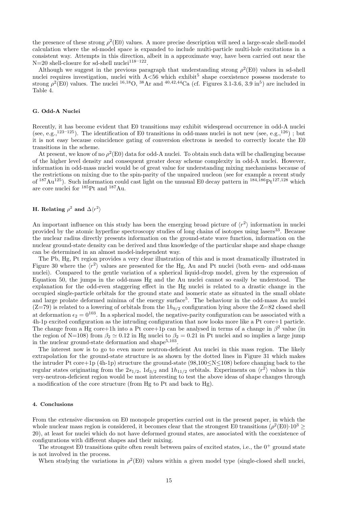the presence of these strong  $\rho^2(E0)$  values. A more precise description will need a large-scale shell-model calculation where the sd-model space is expanded to include multi-particle multi-hole excitations in a consistent way. Attempts in this direction, albeit in a approximate way, have been carried out near the N=20 shell-closure for sd-shell nuclei<sup>118–122</sup>.

Although we suggest in the previous paragraph that understanding strong  $\rho^2(E0)$  values in sd-shell nuclei requires investigation, nuclei with  $A \leq 56$  which exhibit<sup>5</sup> shape coexistence possess moderate to strong  $\rho^2(E0)$  values. The nuclei <sup>16,18</sup>O, <sup>38</sup>Ar and <sup>40,42,44</sup>Ca (cf. Figures 3.1-3.6, 3.9 in<sup>5</sup>) are included in Table 4.

#### **G. Odd-A Nuclei**

Recently, it has become evident that E0 transitions may exhibit widespread occurrence in odd-A nuclei (see, e.g.,  $^{123-125}$ ). The identification of E0 transitions in odd-mass nuclei is not new (see, e.g.,  $^{126}$ ); but it is not easy because coincidence gating of conversion electrons is needed to correctly locate the E0 transitions in the scheme.

At present, we know of no  $\rho^2(E0)$  data for odd-A nuclei. To obtain such data will be challenging because of the higher level density and consequent greater decay scheme complexity in odd-A nuclei. However, information in odd-mass nuclei would be of great value for understanding mixing mechanisms because of the restrictions on mixing due to the spin-parity of the unpaired nucleon (see for example a recent study of  $187 \text{Au}^{125}$ ). Such information could cast light on the unusual E0 decay pattern in  $184,186 \text{Pt}^{127,128}$  which are core nuclei for <sup>185</sup>Pt and <sup>187</sup>Au.

## **H.** Relating  $\rho^2$  and  $\Delta \langle r^2 \rangle$

An important influence on this study has been the emerging broad picture of  $\langle r^2 \rangle$  information in nuclei provided by the atomic hyperfine spectroscopy studies of long chains of isotopes using lasers<sup>33</sup>. Because the nuclear radius directly presents information on the ground-state wave function, information on the nuclear ground-state density can be derived and thus knowledge of the particular shape and shape change can be determined in an almost model-independent way.

The Pb, Hg, Pt region provides a very clear illustration of this and is most dramatically illustrated in Figure 30 where the  $\langle r^2 \rangle$  values are presented for the Hg, Au and Pt nuclei (both even- and odd-mass nuclei). Compared to the gentle variation of a spherical liquid-drop model, given by the expression of Equation 50, the jumps in the odd-mass Hg and the Au nuclei cannot so easily be understood. The explanation for the odd-even staggering effect in the Hg nuclei is related to a drastic change in the occupied single-particle orbitals for the ground state and isomeric state as situated in the small oblate and large prolate deformed minima of the energy surface<sup>5</sup>. The behaviour in the odd-mass Au nuclei  $(Z=79)$  is related to a lowering of orbitals from the  $1h_{9/2}$  configuration lying above the Z=82 closed shell at deformation  $\epsilon_2 = 0^{103}$ . In a spherical model, the negative-parity configuration can be associated with a 4h-1p excited configuration as the intruding configuration that now looks more like a Pt core+1 particle. The change from a Hg core+1h into a Pt core+1p can be analysed in terms of a change in  $\beta^2$  value (in the region of N=108) from  $\beta_2 \simeq 0.12$  in Hg nuclei to  $\beta_2 = 0.21$  in Pt nuclei and so implies a large jump in the nuclear ground-state deformation and shape $5,103$ .

The interest now is to go to even more neutron-deficient Au nuclei in this mass region. The likely extrapolation for the ground-state structure is as shown by the dotted lines in Figure 31 which makes the intruder Pt core+1p (4h-1p) structure the ground-state (98,100 $\leq$ N $\leq$ 108) before changing back to the regular states originating from the  $2s_{1/2}$ ,  $1d_{3/2}$  and  $1h_{11/2}$  orbitals. Experiments on  $\langle r^2 \rangle$  values in this very-neutron-deficient region would be most interesting to test the above ideas of shape changes through a modification of the core structure (from Hg to Pt and back to Hg).

#### **4. Conclusions**

From the extensive discussion on E0 monopole properties carried out in the present paper, in which the whole nuclear mass region is considered, it becomes clear that the strongest E0 transitions ( $\rho^2(E0) \cdot 10^3 \ge$ 20), at least for nuclei which do not have deformed ground states, are associated with the coexistence of configurations with different shapes and their mixing.

The strongest E0 transitions quite often result between pairs of excited states, i.e., the  $0^+$  ground state is not involved in the process.

When studying the variations in  $\rho^2(E0)$  values within a given model type (single-closed shell nuclei,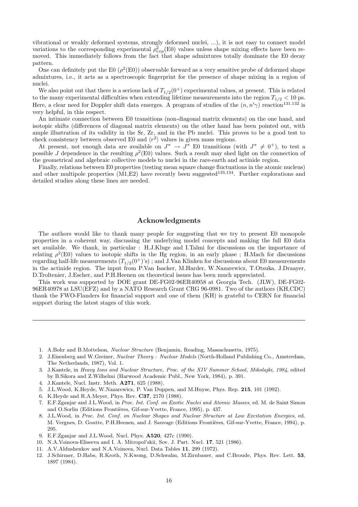vibrational or weakly deformed systems, strongly deformed nuclei, ...), it is not easy to connect model variations to the corresponding experimental  $\rho_{exp}^2(E0)$  values unless shape mixing effects have been removed. This immediately follows from the fact that shape admixtures totally dominate the E0 decay pattern.

One can definitely put the E0  $(\rho^2(E0))$  observable forward as a very sensitive probe of deformed shape admixtures, i.e., it acts as a spectroscopic fingerprint for the presence of shape mixing in a region of nuclei.

We also point out that there is a serious lack of  $T_{1/2}(0^+)$  experimental values, at present. This is related to the many experimental difficulties when extending lifetime measurements into the region  $T_{1/2}$  < 10 ps. Here, a clear need for Doppler shift data emerges. A program of studies of the  $(n, n'\gamma)$  reaction<sup>131,132</sup> is very helpful, in this respect.

An intimate connection between E0 transitions (non-diagonal matrix elements) on the one hand, and isotopic shifts (differences of diagonal matrix elements) on the other hand has been pointed out, with ample illustration of its validity in the Sr, Zr, and in the Pb nuclei. This proves to be a good test to check consistency between observed E0 and  $\langle r^2 \rangle$  values in given mass regions.

At present, not enough data are available on  $J^{\pi} \to \tilde{J}^{\pi}$  E0 transitions (with  $J^{\pi} \neq 0^{+}$ ), to test a possible J dependence in the resulting  $\rho^2(E0)$  values. Such a result may shed light on the connection of the geometrical and algebraic collective models to nuclei in the rare-earth and actinide region.

Finally, relations between E0 properties (testing mean square change fluctuations in the atomic nucleus) and other multipole properties  $(M1, E2)$  have recently been suggested<sup>133,134</sup>. Further explorations and detailed studies along these lines are needed.

## *Acknowledgments*

The authors would like to thank many people for suggesting that we try to present E0 monopole properties in a coherent way, discussing the underlying model concepts and making the full E0 data set available. We thank, in particular : H.J.Kluge and I.Talmi for discussions on the importance of relating  $\rho^2(E0)$  values to isotopic shifts in the Hg region, in an early phase; H.Mach for discussions regarding half-life measurements  $(T_{1/2}(0^+)^s)$ ; and J.Van Klinken for discussions about E0 measurements in the actinide region. The input from P.Van Isacker, M.Harder, W.Nazarewicz, T.Otsuka, J.Draayer, D.Troltenier, J.Escher, and P.H.Heenen on theoretical issues has been much appreciated.

This work was supported by DOE grant DE-FG02-96ER40958 at Georgia Tech. (JLW), DE-FG02- 96ER40978 at LSU(EFZ) and by a NATO Research Grant CRG 96-0981. Two of the authors (KH,CDC) thank the FWO-Flanders for financial support and one of them (KH) is grateful to CERN for financial support during the latest stages of this work.

- 4. J.Kantele, Nucl. Instr. Meth. **A271**, 625 (1988).
- 5. J.L.Wood, K.Heyde, W.Nazarewicz, P. Van Duppen, and M.Huyse, Phys. Rep. **215**, 101 (1992).
- 6. K.Heyde and R.A.Meyer, Phys. Rev. **C37**, 2170 (1988).
- 7. E.F.Zganjar and J.L.Wood, in Proc. Int. Conf. on Exotic Nuclei and Atomic Masses, ed. M. de Saint Simon and O.Sorlin (Editions Frontières, Gif-sur-Yvette, France, 1995), p. 437.
- 8. J.L.Wood, in Proc. Int. Conf. on Nuclear Shapes and Nuclear Structure at Low Excitation Energies, ed. M. Vergnes, D. Goutte, P.H.Heenen, and J. Sauvage (Editions Frontières, Gif-sur-Yvette, France, 1994), p. 295.
- 9. E.F.Zganjar and J.L.Wood, Nucl. Phys. **A520**, 427c (1990).
- 10. N.A.Voinova-Eliseeva and I. A. Mitropol'skii, Sov. J. Part. Nucl. **17**, 521 (1986).
- 11. A.V.Aldushenkov and N.A.Voinova, Nucl. Data Tables **11**, 299 (1972).
- 12. J.Schirmer, D.Habs, R.Kroth, N.Kwong, D.Schwalm, M.Zirnbauer, and C.Broude, Phys. Rev. Lett. **53**, 1897 (1984).

<sup>1</sup>. A.Bohr and B.Mottelson, Nuclear Structure (Benjamin, Reading, Massachusetts, 1975).

<sup>2</sup>. J.Eisenberg and W.Greiner, Nuclear Theory : Nuclear Models (North-Holland Publishing Co., Amsterdam, The Netherlands, 1987), Vol. 1.

<sup>3</sup>. J.Kantele, in Heavy Ions and Nuclear Structure, Proc. of the XIV Summer School, Mikolajki, 1984, edited by B.Sikora and Z.Wilhelmi (Harwood Academic Publ., New York, 1984), p. 391.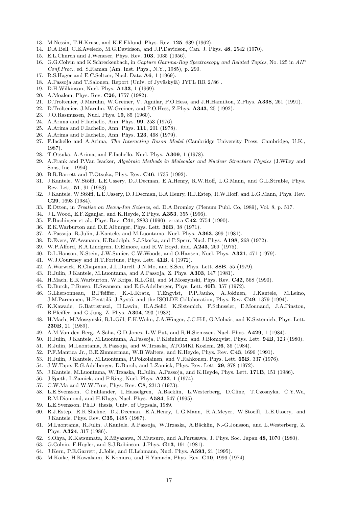- . M.Nessin, T.H.Kruse, and K.E.Eklund, Phys. Rev. **125**, 639 (1962).
- . D.A.Bell, C.E.Aveledo, M.G.Davidson, and J.P.Davidson, Can. J. Phys. **48**, 2542 (1970).
- . E.L.Church and J.Weneser, Phys. Rev. **103**, 1035 (1956).
- . G.G.Colvin and K.Schreckenbach, in Capture Gamma-Ray Spectroscopy and Related Topics, No. 125 in AIP Conf.Proc., ed. S.Raman (Am. Inst. Phys., N.Y., 1985), p. 290.
- . R.S.Hager and E.C.Seltzer, Nucl. Data **A6**, 1 (1969).
- 18. A.Passoja and T.Salonen, Report (Univ. of Jyväskylä) JYFL RR  $2/86$ .
- . D.H.Wilkinson, Nucl. Phys. **A133**, 1 (1969).
- . A.Moalem, Phys. Rev. **C26**, 1757 (1982).
- . D.Troltenier, J.Maruhn, W.Greiner, V. Aguilar, P.O.Hess, and J.H.Hamilton, Z.Phys. **A338**, 261 (1991).
- . D.Troltenier, J.Maruhn, W.Greiner, and P.O.Hess, Z.Phys. **A343**, 25 (1992).
- . J.O.Rasmussen, Nucl. Phys. **19**, 85 (1960).
- . A.Arima and F.Iachello, Ann. Phys. **99**, 253 (1976).
- . A.Arima and F.Iachello, Ann. Phys. **111**, 201 (1978).
- . A.Arima and F.Iachello, Ann. Phys. **123**, 468 (1979).
- . F.Iachello and A.Arima, The Interacting Boson Model (Cambridge University Press, Cambridge, U.K., 1987).
- . T.Otsuka, A.Arima, and F.Iachello, Nucl. Phys. **A309**, 1 (1978).
- . A.Frank and P.Van Isacker, Algebraic Methods in Molecular and Nuclear Structure Physics (J.Wiley and Sons, Inc., 1994).
- . B.R.Barrett and T.Otsuka, Phys. Rev. **C46**, 1735 (1992).
- 31. J.Kantele, W.Stöffl, L.E.Ussery, D.J.Decman, E.A.Henry, R.W.Hoff, L.G.Mann, and G.L.Struble, Phys. Rev. Lett. **51**, 91 (1983).
- 32. J.Kantele, W.Stöffl, L.E.Ussery, D.J.Decman, E.A.Henry, R.J.Estep, R.W.Hoff, and L.G.Mann, Phys. Rev. **C29**, 1693 (1984).
- . E.Otten, in Treatise on Heavy-Ion Science, ed. D.A.Bromley (Plenum Publ. Co, 1989), Vol. 8, p. 517.
- . J.L.Wood, E.F.Zganjar, and K.Heyde, Z.Phys. **A353**, 355 (1996).
- . F.Buchinger et al., Phys. Rev. **C41**, 2883 (1990); errata **C42**, 2754 (1990).
- . E.K.Warburton and D.E.Alburger, Phys. Lett. **36B**, 38 (1971).
- . A.Passoja, R.Julin, J.Kantele, and M.Luontama, Nucl. Phys. **A363**, 399 (1981).
- . D.Evers, W.Assmann, K.Rudolph, S.J.Skorka, and P.Sperr, Nucl. Phys. **A198**, 268 (1972).
- . W.P.Alford, R.A.Lindgren, D.Elmore, and R.W.Boyd, ibid. **A243**, 269 (1975).
- . D.L.Hanson, N.Stein, J.W.Sunier, C.W.Woods, and O.Hansen, Nucl. Phys. **A321**, 471 (1979).
- . W.J.Courtney and H.T.Fortune, Phys. Lett. **41B**, 4 (1972).
- . A.Warwick, R.Chapman, J.L.Durell, J.N.Mo, and S.Sen, Phys. Lett. **88B**, 55 (1979).
- . R.Julin, J.Kantele, M.Luontama, and A.Passoja, Z. Phys. **A303**, 147 (1981).
- . H.Mach, E.K.Warburton, W.Krips, R.L.Gill, and M.Moszynski, Phys. Rev. **C42**, 568 (1990).
- . D.Burch, P.Russo, H.Swanson, and E.G.Adelberger, Phys. Lett. **40B**, 357 (1972).
- . G.Lhersonneau, B.Pfeiffer, K.-L.Kratz, T.Engvist, P.P.Jauho, A.Jokinen, J.Kantele, M.Leino, J.M.Parmonen, H.Penttilä, J.Äystö, and the ISOLDE Collaboration, Phys. Rev. C49, 1379 (1994).
- . K.Kawade, G.Battistuzzi, H.Lawin, H.A.Seli˘c, K.Sistemich, F.Schussler, E.Monnand, J.A.Pinston, B.Pfeiffer, and G.Jung, Z. Phys. **A304**, 293 (1982).
- 48. H.Mach, M.Moszynski, R.L.Gill, F.K.Wohn, J.A.Winger, J.C.Hill, G.Molnár, and K.Sistemich, Phys. Lett. **230B**, 21 (1989).
- . A.M.Van den Berg, A.Saha, G.D.Jones, L.W.Put, and R.H.Siemssen, Nucl. Phys. **A429**, 1 (1984).
- . R.Julin, J.Kantele, M.Luontama, A.Passoja, P.Kleinheinz, and J.Blomqvist, Phys. Lett. **94B**, 123 (1980).
- . R.Julin, M.Luontama, A.Passoja, and W.Trzaska, ATOMKI Kozlem. **26**, 36 (1984).
- . P.F.Mantica Jr., B.E.Zimmerman, W.B.Walters, and K.Heyde, Phys. Rev. **C43**, 1696 (1991).
- . R.Julin, J.Kantele, M.Luontama, P.Poikolainen, and V.Rahkonen, Phys. Lett. **65B**, 337 (1976).
- . J.W.Tape, E.G.Adelberger, D.Burch, and L.Zamick, Phys. Rev. Lett. **29**, 878 (1972).
- . J.Kantele, M.Luontama, W.Trzaska, R.Julin, A.Passoja, and K.Heyde, Phys. Lett. **171B**, 151 (1986).
- . J.Speth, L.Zamick, and P.Ring, Nucl. Phys. **A232**, 1 (1974).
- . C.W.Ma and W.W.True, Phys. Rev. **C8**, 2313 (1973).
- 58. L.E.Svensson, C.Fahlander, L.Hasselgren, A.Bäcklin, L.Westerberg, D.Cline, T.Czosnyka, C.Y.Wu, R.M.Diamond, and H.Kluge, Nucl. Phys. **A584**, 547 (1995).
- . L.E.Svensson, Ph.D. thesis, Univ. of Uppsala, 1989.
- . R.J.Estep, R.K.Sheline, D.J.Decman, E.A.Henry, L.G.Mann, R.A.Meyer, W.Stoeffl, L.E.Ussery, and J.Kantele, Phys. Rev. **C35**, 1485 (1987).
- 61. M.Luontama, R.Julin, J.Kantele, A.Passoja, W.Trzaska, A.Bäcklin, N.-G.Jonsson, and L.Westerberg, Z. Phys. **A324**, 317 (1986).
- . S.Ohya, K.Katsumata, K.Miyazawa, N.Mutsuro, and A.Furusawa, J. Phys. Soc. Japan **48**, 1070 (1980).
- . G.Colvin, F.Hoyler, and S.J.Robinson, J.Phys. **G13**, 191 (1981).
- . J.Kern, P.E.Garrett, J.Jolie, and H.Lehmann, Nucl. Phys. **A593**, 21 (1995).
- . M.Koike, H.Kawakami, K.Komura, and H.Yamada, Phys. Rev. **C10**, 1996 (1974).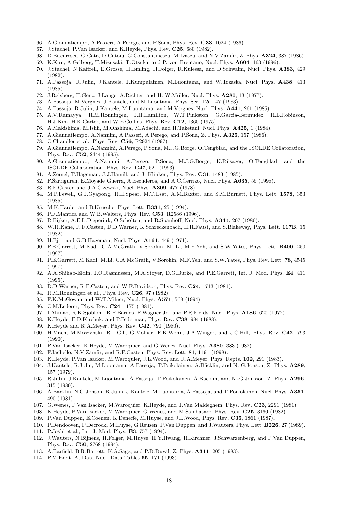- . A.Giannatiempo, A.Passeri, A.Perego, and P.Sona, Phys. Rev. **C33**, 1024 (1986).
- . J.Stachel, P.Van Isacker, and K.Heyde, Phys. Rev. **C25**, 680 (1982).
- . D.Bucurescu, G.Cata, D.Cutoiu, G.Constantinescu, M.Ivascu, and N.V.Zamfir, Z. Phys. **A324**, 387 (1986).
- . K.Kim, A.Gelberg, T.Mizusaki, T.Otsuka, and P. von Brentano, Nucl. Phys. **A604**, 163 (1996).
- . J.Stachel, N.Kaffrell, E.Grosse, H.Emling, H.Folger, R.Kulessa, and D.Schwalm, Nucl. Phys. **A383**, 429 (1982).
- . A.Passoja, R.Julin, J.Kantele, J.Kumpulainen, M.Luontama, and W.Trzaska, Nucl. Phys. **A438**, 413 (1985).
- . J.Reisberg, H.Genz, J.Lange, A.Richter, and H.-W.M¨uller, Nucl. Phys. **A280**, 13 (1977).
- . A.Passoja, M.Vergnes, J.Kantele, and M.Luontama, Phys. Scr. **T5**, 147 (1983).
- . A.Passoja, R.Julin, J.Kantele, M.Luontama, and M.Vergnes, Nucl. Phys. **A441**, 261 (1985).
- . A.V.Ramayya, R.M.Ronningen, J.H.Hamilton, W.T.Pinkston, G.Garcia-Bermudez, R.L.Robinson, H.J.Kim, H.K.Carter, and W.E.Collins, Phys. Rev. **C12**, 1360 (1975).
- . A.Makishima, M.Ishii, M.Ohshima, M.Adachi, and H.Taketani, Nucl. Phys. **A425**, 1 (1984).
- . A.Giannatiempo, A.Nannini, A.Passeri, A.Perego, and P.Sona, Z. Phys. **A325**, 157 (1986).
- . C.Chandler et al., Phys. Rev. **C56**, R2924 (1997).
- . A.Giannatiempo, A.Nannini, A.Perego, P.Sona, M.J.G.Borge, O.Tengblad, and the ISOLDE Collatoration, Phys. Rev. **C52**, 2444 (1995).
- . A.Giannatiempo, A.Nannini, A.Perego, P.Sona, M.J.G.Borge, K.Riisager, O.Tengblad, and the ISOLDE Collaboration, Phys. Rev. **C47**, 521 (1993).
- . A.Zemel, T.Hageman, J.J.Hamill, and J. Klinken, Phys. Rev. **C31**, 1483 (1985).
- . P.Sarriguren, E.Moyade Guerra, A.Escuderos, and A.C.Cerrizo, Nucl. Phys. **A635**, 55 (1998).
- . R.F.Casten and J.A.Cizewski, Nucl. Phys. **A309**, 477 (1978).
- . M.P.Fewell, G.J.Gyapong, R.H.Spear, M.T.Esat, A.M.Baxter, and S.M.Burnett, Phys. Lett. **1578**, 353 (1985).
- . M.K.Harder and B.Krusche, Phys. Lett. **B331**, 25 (1994).
- . P.F.Mantica and W.B.Walters, Phys. Rev. **C53**, R2586 (1996).
- . R.Bijker, A.E.L.Dieperink, O.Scholten, and R.Spanhoff, Nucl. Phys. **A344**, 207 (1980).
- . W.R.Kane, R.F.Casten, D.D.Warner, K.Schreckenbach, H.R.Faust, and S.Blakeway, Phys. Lett. **117B**, 15 (1982).
- . H.Ejiri and G.B.Hageman, Nucl. Phys. **A161**, 449 (1971).
- . P.E.Garrett, M.Kadi, C.A.McGrath, V.Sorokin, M. Li, M.F.Yeh, and S.W.Yates, Phys. Lett. **B400**, 250 (1997).
- . P.E.Garrett, M.Kadi, M.Li, C.A.McGrath, V.Sorokin, M.F.Yeh, and S.W.Yates, Phys. Rev. Lett. **78**, 4545 (1997).
- . A.A.Shihab-Eldin, J.O.Rasmussen, M.A.Stoyer, D.G.Burke, and P.E.Garrett, Int. J. Mod. Phys. **E4**, 411 (1995).
- . D.D.Warner, R.F.Casten, and W.F.Davidson, Phys. Rev. **C24**, 1713 (1981).
- . R.M.Ronningen et al., Phys. Rev. **C26**, 97 (1982).
- . F.K.McGowan and W.T.Milner, Nucl. Phys. **A571**, 569 (1994).
- . C.M.Lederer, Phys. Rev. **C24**, 1175 (1981).
- . I.Ahmad, R.K.Sjoblom, R.F.Barnes, F.Wagner Jr., and P.R.Fields, Nucl. Phys. **A186**, 620 (1972).
- . K.Heyde, E.D.Kirchuk, and P.Federman, Phys. Rev. **C38**, 984 (1988).
- . K.Heyde and R.A.Meyer, Phys. Rev. **C42**, 790 (1980).
- . H.Mach, M.Moszynski, R.L.Gill, G.Molnar, F.K.Wohn, J.A.Winger, and J.C.Hill, Phys. Rev. **C42**, 793 (1990).
- . P.Van Isacker, K.Heyde, M.Waroquier, and G.Wenes, Nucl. Phys. **A380**, 383 (1982).
- . F.Iachello, N.V.Zamfir, and R.F.Casten, Phys. Rev. Lett. **81**, 1191 (1998).
- . K.Heyde, P.Van Isacker, M.Waroquier, J.L.Wood, and R.A.Meyer, Phys. Repts. **102**, 291 (1983).
- . J.Kantele, R.Julin, M.Luontama, A.Passoja, T.Poikolainen, A.B¨acklin, and N.-G.Jonson, Z. Phys. **A289**, 157 (1979).
- . R.Julin, J.Kantele, M.Luontama, A.Passoja, T.Poikolainen, A.B¨acklin, and N.-G.Jonsson, Z. Phys. **A296**, 315 (1980).
- . A.B¨acklin, N.G.Jonson, R.Julin, J.Kantele, M.Luontama, A.Passoja, and T.Poikolainen, Nucl. Phys. **A351**, 490 (1981).
- . G.Wenes, P.Van Isacker, M.Waroquier, K.Heyde, and J.Van Maldeghem, Phys. Rev. **C23**, 2291 (1981).
- . K.Heyde, P.Van Isacker, M.Waroquier, G.Wenes, and M.Sambataro, Phys. Rev. **C25**, 3160 (1982).
- . P.Van Duppen, E.Coenen, K.Deneffe, M.Huyse, and J.L.Wood, Phys. Rev. **C35**, 1861 (1987).
- . P.Dendooven, P.Decrock, M.Huyse, G.Reusen, P.Van Duppen, and J.Wauters, Phys. Lett. **B226**, 27 (1989).
- . P.Joshi et al., Int. J. Mod. Phys. **E3**, 757 (1994).
- . J.Wauters, N.Bijnens, H.Folger, M.Huyse, H.Y.Hwang, R.Kirchner, J.Schwarzenberg, and P.Van Duppen, Phys. Rev. **C50**, 2768 (1994).
- . A.Barfield, B.R.Barrett, K.A.Sage, and P.D.Duval, Z. Phys. **A311**, 205 (1983).
- . P.M.Endt, At.Data Nucl. Data Tables **55**, 171 (1993).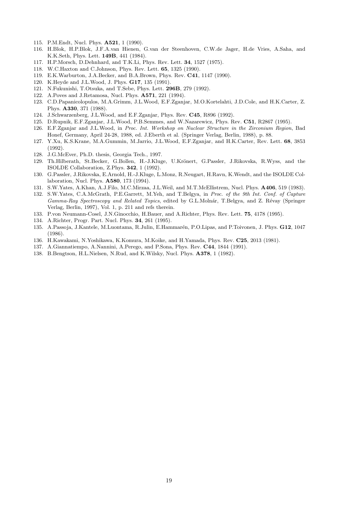- . P.M.Endt, Nucl. Phys. **A521**, 1 (1990).
- . H.Blok, H.P.Blok, J.F.A.van Hienen, G.van der Steenhoven, C.W.de Jager, H.de Vries, A.Saha, and K.K.Seth, Phys. Lett. **149B**, 441 (1984).
- . H.P.Morsch, D.Dehnhard, and T.K.Li, Phys. Rev. Lett. **34**, 1527 (1975).
- . W.C.Haxton and C.Johnson, Phys. Rev. Lett. **65**, 1325 (1990).
- . E.K.Warburton, J.A.Becker, and B.A.Brown, Phys. Rev. **C41**, 1147 (1990).
- . K.Heyde and J.L.Wood, J. Phys. **G17**, 135 (1991).
- . N.Fukunishi, T.Otsuka, and T.Sebe, Phys. Lett. **296B**, 279 (1992).
- . A.Poves and J.Retamosa, Nucl. Phys. **A571**, 221 (1994).
- . C.D.Papanicolopulos, M.A.Grimm, J.L.Wood, E.F.Zganjar, M.O.Kortelahti, J.D.Cole, and H.K.Carter, Z. Phys. **A330**, 371 (1988).
- . J.Schwarzenberg, J.L.Wood, and E.F.Zganjar, Phys. Rev. **C45**, R896 (1992).
- . D.Rupnik, E.F.Zganjar, J.L.Wood, P.B.Semmes, and W.Nazarewicz, Phys. Rev. **C51**, R2867 (1995).
- . E.F.Zganjar and J.L.Wood, in Proc. Int. Workshop on Nuclear Structure in the Zirconium Region, Bad Honef, Germany, April 24-28, 1988, ed. J.Eberth et al. (Springer Verlag, Berlin, 1988), p. 88.
- . Y.Xu, K.S.Krane, M.A.Gummin, M.Jarrio, J.L.Wood, E.F.Zganjar, and H.K.Carter, Rev. Lett. **68**, 3853 (1992).
- . J.G.McEver, Ph.D. thesis, Georgia Tech., 1997.
- 129. Th.Hilberath, St.Becker, G.Bollen, H.-J.Kluge, U.Krönert, G.Passler, J.Rikovska, R.Wyss, and the ISOLDE Collaboration, Z.Phys. **342**, 1 (1992).
- . G.Passler, J.Rikovska, E.Arnold, H.-J.Kluge, L.Monz, R.Neugart, H.Ravn, K.Wendt, and the ISOLDE Collaboration, Nucl. Phys. **A580**, 173 (1994).
- . S.W.Yates, A.Khan, A.J.Filo, M.C.Mirzaa, J.L.Weil, and M.T.McEllistrem, Nucl. Phys. **A406**, 519 (1983).
- . S.W.Yates, C.A.McGrath, P.E.Garrett, M.Yeh, and T.Belgya, in Proc. of the 9th Int. Conf. of Capture Gamma-Ray Spectroscopy and Related Topics, edited by G.L.Molnár, T.Belgya, and Z. Révay (Springer Verlag, Berlin, 1997), Vol. 1, p. 211 and refs therein.
- . P.von Neumann-Cosel, J.N.Ginocchio, H.Bauer, and A.Richter, Phys. Rev. Lett. **75**, 4178 (1995).
- . A.Richter, Progr. Part. Nucl. Phys. **34**, 261 (1995).
- 135. A.Passoja, J.Kantele, M.Luontama, R.Julin, E.Hammarén, P.O.Lipas, and P.Toivonen, J. Phys. **G12**, 1047 (1986).
- . H.Kawakami, N.Yoshikawa, K.Komura, M.Koike, and H.Yamada, Phys. Rev. **C25**, 2013 (1981).
- . A.Giannatiempo, A.Nannini, A.Perego, and P.Sona, Phys. Rev. **C44**, 1844 (1991).
- . B.Bengtson, H.L.Nielsen, N.Rud, and K.Wilsky, Nucl. Phys. **A378**, 1 (1982).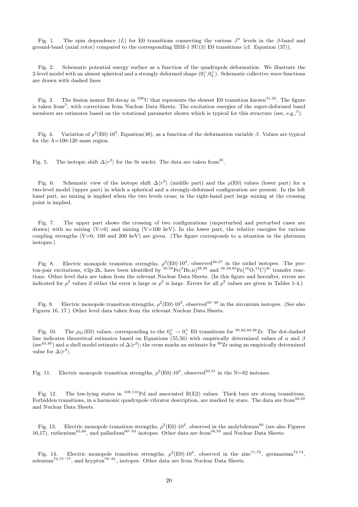Fig. 1. The spin dependence (L) for E0 transitions connecting the various  $J^{\pi}$  levels in the β-band and ground-band (axial rotor) compared to the corresponding IBM-1 SU(3) E0 transitions (cf. Equation (37)).

Fig. 2. Schematic potential energy surface as a function of the quadrupole deformation. We illustrate the 2-level model with an almost spherical and a strongly deformed shape  $(0_1^+, 0_2^+)$ . Schematic collective wave functions are drawn with dashed lines.

Fig. 3. The fission isomer E0 decay in  $^{238}$ U that represents the slowest E0 transition known<sup>31,32</sup>. The figure is taken from<sup>5</sup>, with corrections from Nuclear Data Sheets. The excitation energies of the super-deformed band members are estimates based on the rotational parameter shown which is typical for this structure (see, e.g., $^5$ ).

Fig. 4. Variation of  $\rho^2(E0) \cdot 10^3$ , Equation(48), as a function of the deformation variable β. Values are typical for the A=100-120 mass region.

Fig. 5. The isotopic shift  $\Delta \langle r^2 \rangle$  for the Sr nuclei. The data are taken from<sup>35</sup>.

Fig. 6. Schematic view of the isotope shift  $\Delta \langle r^2 \rangle$  (middle part) and the  $\rho(E0)$  values (lower part) for a two-level model (upper part) in which a spherical and a strongly-deformed configuration are present. In the left hand part, no mixing is implied when the two levels cross; in the right-hand part large mixing at the crossing point is implied.

Fig. 7. The upper part shows the crossing of two configurations (unperturbed and perturbed cases are drawn) with no mixing  $(V=0)$  and mixing  $(V=100 \text{ keV})$ . In the lower part, the relative energies for various coupling strengths ( $V=0$ , 100 and 200 keV) are given. (The figure corresponds to a situation in the platinum isotopes.)

Fig. 8. Electric monopole transition strengths,  $\rho^2(E0) \cdot 10^3$ , observed<sup>36,37</sup> in the nickel isotopes. The proton-pair excitations,  $\pi$ 2p-2h, have been identified by  ${}^{56,58}Fe({}^{3}He, n){}^{38,39}$  and  ${}^{56,58,60}Fe({}^{16}O, {}^{12}C)^{40}$  transfer reactions. Other level data are taken from the relevant Nuclear Data Sheets. (In this figure and hereafter, errors are indicated for  $\rho^2$  values if either the error is large or  $\rho^2$  is large. Errors for all  $\rho^2$  values are given in Tables 1-4.)

Fig. 9. Electric monopole transition strengths,  $\rho^2(E0) \cdot 10^3$ , observed<sup>43–48</sup> in the zirconium isotopes. (See also Figures 16, 17.) Other level data taken from the relevant Nuclear Data Sheets.

Fig. 10. The  $\rho_{21}(\text{E0})$  values, corresponding to the  $0^+_2 \rightarrow 0^+_1$  E0 transitions for  $\frac{90,92,94,96}{2}$ Tr. The dot-dashed line indicates theoretical estimates based on Equations (55,56) with empirically determined values of  $\alpha$  and  $\beta$ (see<sup>43,49</sup>) and a shell model estimate of  $\Delta\langle r^2\rangle$ ; the cross marks an estimate for <sup>90</sup>Zr using an empirically determined value for  $\Delta\langle r^2\rangle$ .

Fig. 11. Electric monopole transition strengths,  $\rho^2(E0) \cdot 10^3$ , observed<sup>50,51</sup> in the N=82 isotones.

Fig. 12. The low-lying states in  $^{108,110}$ Pd and associated B(E2) values. Thick bars are strong transitions. Forbidden transitions, in a harmonic quadrupole vibrator description, are marked by stars. The data are from<sup>58,59</sup> and Nuclear Data Sheets.

Fig. 13. Electric monopole transition strengths,  $\rho^2(E0) \cdot 10^3$ , observed in the molybdenum<sup>60</sup> (see also Figures 16,17), ruthenium<sup>65,66</sup>, and palladium<sup>60–63</sup> isotopes. Other data are from<sup>58,59</sup> and Nuclear Data Sheets.

Fig. 14. Electric monopole transition strengths,  $\rho^2(E0) \cdot 10^3$ , observed in the zinc<sup>71,72</sup>, germanium<sup>73,74</sup>, selenium<sup>73,75–77</sup>, and krypton<sup>78–81</sup>, isotopes. Other data are from Nuclear Data Sheets.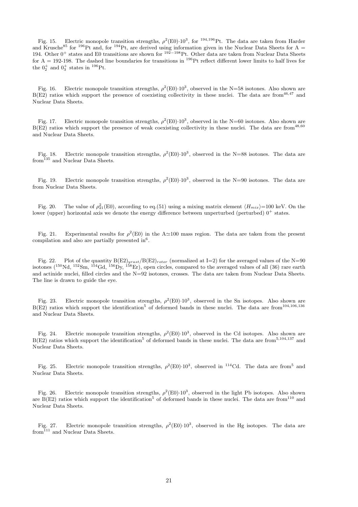Fig. 15. Electric monopole transition strengths,  $\rho^2(E0) \cdot 10^3$ , for <sup>194,196</sup>Pt. The data are taken from Harder and Krusche<sup>85</sup> for <sup>196</sup>Pt and, for <sup>194</sup>Pt, are derived using information given in the Nuclear Data Sheets for A = 194. Other 0<sup>+</sup> states and E0 transitions are shown for <sup>192</sup>−<sup>198</sup>Pt. Other data are taken from Nuclear Data Sheets for  $A = 192-198$ . The dashed line boundaries for transitions in <sup>196</sup>Pt reflect different lower limits to half lives for the  $0_2^+$  and  $0_3^+$  states in <sup>196</sup>Pt.

Fig. 16. Electric monopole transition strengths,  $\rho^2(E0) \cdot 10^3$ , observed in the N=58 isotones. Also shown are  $B(E2)$  ratios which support the presence of coexisting collectivity in these nuclei. The data are from  $46,47$  and Nuclear Data Sheets.

Fig. 17. Electric monopole transition strengths,  $\rho^2(E0) \cdot 10^3$ , observed in the N=60 isotones. Also shown are  $B(E2)$  ratios which support the presence of weak coexisting collectivity in these nuclei. The data are from  $48,60$ and Nuclear Data Sheets.

Fig. 18. Electric monopole transition strengths,  $\rho^2(E0) \cdot 10^3$ , observed in the N=88 isotones. The data are from<sup>135</sup> and Nuclear Data Sheets.

Fig. 19. Electric monopole transition strengths,  $\rho^2(E0)$ ·10<sup>3</sup>, observed in the N=90 isotones. The data are from Nuclear Data Sheets.

Fig. 20. The value of  $\rho_{21}^2(E0)$ , according to eq.(51) using a mixing matrix element  $\langle H_{mix}\rangle$ =100 keV. On the lower (upper) horizontal axis we denote the energy difference between unperturbed (perturbed)  $0^+$  states.

Fig. 21. Experimental results for  $\rho^2(E0)$  in the A $\simeq$ 100 mass region. The data are taken from the present compilation and also are partially presented in $6$ .

Fig. 22. Plot of the quantity  $B(E2)_{yrast}/B(E2)_{rotor}$  (normalized at I=2) for the averaged values of the N=90 isotones (<sup>150</sup>Nd, <sup>152</sup>Sm, <sup>154</sup>Gd, <sup>156</sup>Dy, <sup>158</sup>Er), open circles, compared to the averaged values of all (36) ra and actinide nuclei, filled circles and the N=92 isotones, crosses. The data are taken from Nuclear Data Sheets. The line is drawn to guide the eye.

Fig. 23. Electric monopole transition strengths,  $\rho^2(E0) \cdot 10^3$ , observed in the Sn isotopes. Also shown are  $B(E2)$  ratios which support the identification<sup>5</sup> of deformed bands in these nuclei. The data are from<sup>104,106,136</sup> and Nuclear Data Sheets.

Fig. 24. Electric monopole transition strengths,  $\rho^2(E0) \cdot 10^3$ , observed in the Cd isotopes. Also shown are  $B(E2)$  ratios which support the identification<sup>5</sup> of deformed bands in these nuclei. The data are from<sup>5,104,137</sup> and Nuclear Data Sheets.

Fig. 25. Electric monopole transition strengths,  $\rho^2(E0)$  10<sup>3</sup>, observed in <sup>114</sup>Cd. The data are from<sup>5</sup> and Nuclear Data Sheets.

Fig. 26. Electric monopole transition strengths,  $\rho^2(E0) \cdot 10^3$ , observed in the light Pb isotopes. Also shown are B(E2) ratios which support the identification<sup>5</sup> of deformed bands in these nuclei. The data are from<sup>110</sup> and Nuclear Data Sheets.

Fig. 27. Electric monopole transition strengths,  $\rho^2(E0) \cdot 10^3$ , observed in the Hg isotopes. The data are  $\widetilde{\rm{Hom}}^{\mathbbm{1}{11}}$  and Nuclear Data Sheets.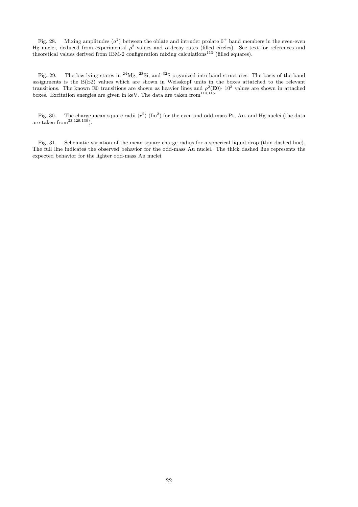Fig. 28. Mixing amplitudes  $(a^2)$  between the oblate and intruder prolate  $0^+$  band members in the even-even Hg nuclei, deduced from experimental  $\rho^2$  values and  $\alpha$ -decay rates (filled circles). See text for references and theoretical values derived from IBM-2 configuration mixing calculations<sup>113</sup> (filled squares).

Fig. 29. The low-lying states in <sup>24</sup>Mg, <sup>28</sup>Si, and <sup>32</sup>S organized into band structures. The basis of the band assignments is the B(E2) values which are shown in Weisskopf units in the boxes attatched to the relevant transitions. The known E0 transitions are shown as heavier lines and  $\rho^2(E0)$  · 10<sup>3</sup> values are shown in attached boxes. Excitation energies are given in keV. The data are taken from  $114,115$ 

Fig. 30. The charge mean square radii  $\langle r^2 \rangle$  (fm<sup>2</sup>) for the even and odd-mass Pt, Au, and Hg nuclei (the data are taken from  $(33,129,130)$ .

Fig. 31. Schematic variation of the mean-square charge radius for a spherical liquid drop (thin dashed line). The full line indicates the observed behavior for the odd-mass Au nuclei. The thick dashed line represents the expected behavior for the lighter odd-mass Au nuclei.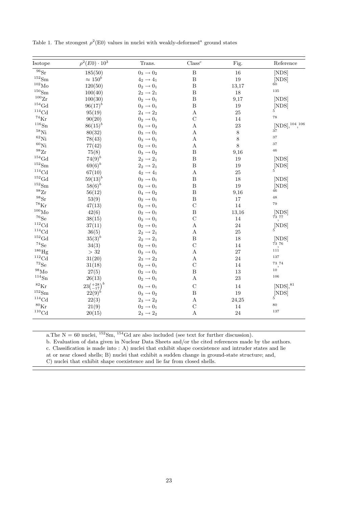| Isotope               | $\rho^2(E0) \cdot 10^3$ | Trans.                | $\mathrm{Class}^c$    | Fig.     | Reference                                       |
|-----------------------|-------------------------|-----------------------|-----------------------|----------|-------------------------------------------------|
| $^{96}\rm{Sr}$        | 185(50)                 | $0_3 \rightarrow 0_2$ | $\, {\bf B}$          | 16       | [NDS]                                           |
| $^{152}{\rm Sm}$      | $\approx 150^b$         | $4_2 \rightarrow 4_1$ | $\, {\bf B}$          | 19       | [NDS]                                           |
| $^{102}\rm{Mo}$       | 120(50)                 | $0_2 \rightarrow 0_1$ | $\, {\bf B}$          | 13,17    | $60^{\circ}$                                    |
| $^{150}$ Sm           | 100(40)                 | $2_2 \rightarrow 2_1$ | $\boldsymbol{B}$      | 18       | 135                                             |
| $^{100}\mathrm{Zr}$   | 100(30)                 | $0_2 \rightarrow 0_1$ | $\, {\bf B}$          | 9,17     | [NDS]                                           |
| $\rm ^{154}Gd$        | $96(17)^{b}$            | $0_2 \rightarrow 0_1$ | $\overline{B}$        | 19       | [NDS]                                           |
| ${}^{114}\mathrm{Cd}$ | 95(19)                  | $2_4 \rightarrow 2_2$ | $\boldsymbol{\rm{A}}$ | 25       |                                                 |
| $^{74}\mathrm{Kr}$    | 90(20)                  | $0_2 \rightarrow 0_1$ | $\mathcal{C}$         | 14       | 78                                              |
| $116\text{Sn}$        | $86(15)^{b}$            | $0_3 \rightarrow 0_2$ | А                     | 23       | $[NDS], ^{104}, ^{106}$                         |
| $^{58}$ Ni            | 80(32)                  | $0_3 \rightarrow 0_1$ | А                     | $8\,$    | 37                                              |
| ${}^{62}$ Ni          | 78(43)                  | $0_3 \rightarrow 0_1$ | А                     | $8\,$    | 37                                              |
| ${}^{60}$ Ni          | 77(42)                  | $0_2 \rightarrow 0_1$ | А                     | $8\,$    | 37                                              |
| $^{98}{\rm Zr}$       | 75(8)                   | $0_3 \rightarrow 0_2$ | $\boldsymbol{B}$      | 9,16     | $\sqrt{46}$                                     |
| ${}^{154}\mathrm{Gd}$ | $74(9)^{b}$             | $2_2 \rightarrow 2_1$ | $\boldsymbol{B}$      | 19       | [NDS]                                           |
| $^{152}{\rm Sm}$      | $69(6)^{b}$             | $2_2 \rightarrow 2_1$ | $\, {\bf B}$          | 19       | $[{\rm NDS}]$                                   |
| ${}^{114}\mathrm{Cd}$ | 67(10)                  | $4_2 \rightarrow 4_1$ | $\boldsymbol{\rm{A}}$ | 25       | 5                                               |
| $\rm ^{152}Gd$        | $59(13)^{b}$            | $0_2 \rightarrow 0_1$ | $\, {\bf B}$          | 18       | [NDS]                                           |
| $152$ Sm              | $58(6)^{b}$             | $0_2 \rightarrow 0_1$ | $\overline{B}$        | $19\,$   | [NDS]                                           |
| $^{98}{\rm Zr}$       | 56(12)                  | $0_4 \rightarrow 0_2$ | $\boldsymbol{B}$      | 9,16     | 46                                              |
| $^{98}Sr$             | 53(9)                   | $0_2 \rightarrow 0_1$ | $\boldsymbol{B}$      | 17       | 48                                              |
| ${}^{78}\mathrm{Kr}$  | 47(13)                  | $0_2 \rightarrow 0_1$ | $\mathcal{C}$         | 14       | 79                                              |
| $^{100}\rm{Mo}$       | 42(6)                   | $0_2 \rightarrow 0_1$ | $\boldsymbol{B}$      | 13,16    | [NDS]                                           |
| $^{76}Se$             | 38(15)                  | $0_2 \rightarrow 0_1$ | $\mathcal{C}$         | 14       | $^{\rm 73}$ , $^{\rm 77}$                       |
| ${}^{112}\mathrm{Cd}$ | 37(11)                  | $0_2 \rightarrow 0_1$ | $\boldsymbol{\rm{A}}$ | 24       | $\begin{bmatrix} \text{NDS} \\ 5 \end{bmatrix}$ |
| ${}^{114}\mathrm{Cd}$ | 36(5)                   | $2_2 \rightarrow 2_1$ | $\boldsymbol{A}$      | 25       |                                                 |
| $\rm ^{152}Gd$        | $35(3)^{b}$             | $2_2 \rightarrow 2_1$ | $\, {\bf B}$          | 18       | [NDS]                                           |
| $^{74}{\rm Se}$       | 34(3)                   | $0_2 \rightarrow 0_1$ | $\mathcal{C}$         | 14       | 73 76                                           |
| $^{186}\mathrm{Hg}$   | >32                     | $0_2 \rightarrow 0_1$ | Α                     | 27       | $\frac{1}{111}$                                 |
| ${}^{112}\mathrm{Cd}$ | 31(20)                  | $2_3 \rightarrow 2_2$ | А                     | 24       | 137                                             |
| ${}^{72}Se$           | 31(18)                  | $0_2 \rightarrow 0_1$ | $\mathcal{C}$         | 14       | 73 74                                           |
| $^{98}\rm{Mo}$        | 27(5)                   | $0_2 \rightarrow 0_1$ | $\, {\bf B}$          | $13\,$   | 10 <sup>1</sup>                                 |
| $^{114}{\rm Sn}$      | 26(13)                  | $0_2 \rightarrow 0_1$ | А                     | $\bf 23$ | 106                                             |
| $^{82}\mathrm{Kr}$    | $23\binom{+28}{-17}^b$  | $0_3 \rightarrow 0_1$ | $\mathcal{C}$         | 14       | $[NDS]$ , $81$                                  |
| $^{152}{\rm Sm}$      | $22(9)^{b}$             | $0_3 \rightarrow 0_2$ | $\, {\bf B}$          | $19\,$   | [NDS]                                           |
| ${}^{114}\mathrm{Cd}$ | 22(3)                   | $2_3 \rightarrow 2_2$ | А                     | 24,25    | 5                                               |
| ${}^{80}\mathrm{Kr}$  | 21(9)                   | $0_2 \rightarrow 0_1$ | $\mathcal{C}$         | 14       | 80                                              |
| ${}^{110}\mathrm{Cd}$ | 20(15)                  | $2_3 \rightarrow 2_2$ | А                     | 24       | 137                                             |

Table 1. The strongest  $\rho^2(E0)$  values in nuclei with weakly-deformed<sup>a</sup> ground states

a.The  $N = 60$  nuclei,  $^{152}Sm$ ,  $^{154}Gd$  are also included (see text for further discussion).

b. Evaluation of data given in Nuclear Data Sheets and/or the cited references made by the authors.

c. Classification is made into : A) nuclei that exhibit shape coexistence and intruder states and lie

at or near closed shells; B) nuclei that exhibit a sudden change in ground-state structure; and,

C) nuclei that exhibit shape coexistence and lie far from closed shells.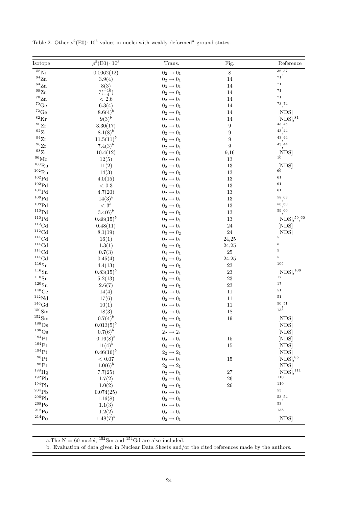| Isotope               | $\rho^2(\text{E0}) \cdot 10^3$ | Trans.                | Fig.             | Reference                                   |
|-----------------------|--------------------------------|-----------------------|------------------|---------------------------------------------|
| $^{58}\rm{Ni}$        | 0.0062(12)                     | $0_2 \rightarrow 0_1$ | $8\,$            | $36\ 37$                                    |
| $^{64}{\rm Zn}$       | 3.9(4)                         | $0_2\rightarrow 0_1$  | 14               | 71                                          |
| $^{64}{\rm Zn}$       | 8(3)                           | $0_3 \rightarrow 0_1$ | 14               | $71\,$                                      |
| $^{68}{\rm Zn}$       | $7(^{+10}_{-4})$               | $0_2 \rightarrow 0_1$ | 14               | $71\,$                                      |
| $\rm ^{70}Zn$         | $< 2.6\,$                      | $0_2 \rightarrow 0_1$ | 14               | $71\,$                                      |
| ${}^{70}\mathrm{Ge}$  | 6.3(4)                         | $0_2 \rightarrow 0_1$ | 14               | $^{\rm 73,74}$                              |
| $^{72}{\rm Ge}$       | $8.6(4)^{b}$                   | $0_2 \rightarrow 0_1$ | 14               | [NDS]                                       |
| ${}^{82}\mathrm{Kr}$  | $9(3)^{b}$                     | $0_2\rightarrow 0_1$  | 14               | $[\text{NDS}]$ , $^{81}$                    |
| $^{90}Zr$             | 3.30(17)                       | $0_2 \rightarrow 0_1$ | $\boldsymbol{9}$ | 43 45                                       |
| $^{92}Zr$             | $8.1(8)^{b}$                   | $0_2 \rightarrow 0_1$ | 9                | $43^{'}44$                                  |
| $^{94}Zr$             | $11.5(11)^{b}$                 | $0_2 \rightarrow 0_1$ | 9                | $_{{43}^{^\prime}44}$                       |
| $^{96}{\rm Zr}$       | $7.4(3)^{b}$                   | $0_2 \rightarrow 0_1$ | $\boldsymbol{9}$ | 43,44                                       |
| $^{98}{\rm Zr}$       | 10.4(12)                       | $0_2 \rightarrow 0_1$ | 9,16             | [NDS]                                       |
| $^{96}\rm{Mo}$        | 12(5)                          | $0_2 \rightarrow 0_1$ | 13               | 10                                          |
| $^{100}\mathrm{Ru}$   | 11(2)                          | $0_2 \rightarrow 0_1$ | $13\,$           | [NDS]                                       |
| $^{102}\mathrm{Ru}$   | 14(3)                          | $0_2 \rightarrow 0_1$ | 13               | 66                                          |
| ${}^{102}\mathrm{Pd}$ | 4.0(15)                        | $0_2 \rightarrow 0_1$ | $13\,$           | 61                                          |
| ${}^{102}\mathrm{Pd}$ | $<\,0.3$                       | $0_3 \rightarrow 0_1$ | 13               | 61                                          |
| $^{104}\mathrm{Pd}$   | 4.7(20)                        | $0_2 \rightarrow 0_1$ | 13               | $61\,$                                      |
| $106$ Pd              | $14(3)^{b}$                    | $0_2 \rightarrow 0_1$ | 13               | 58 63                                       |
| ${}^{108}\mathrm{Pd}$ | $<\,3^b$                       | $0_2 \rightarrow 0_1$ | 13               | $_{58}\raisebox{1ex}{\small{^\prime}}_{60}$ |
| ${}^{110}\mathrm{Pd}$ | $3.4(6)^{b}$                   | $0_2 \rightarrow 0_1$ | $13\,$           | 59'60                                       |
| ${}^{110}{\rm Pd}$    | $0.48(15)^{b}$                 | $0_3 \rightarrow 0_1$ | $13\,$           | $[NDS]$ , $^{59}$ , $^{60}$                 |
| ${}^{112}\mathrm{Cd}$ | 0.48(11)                       | $0_3 \rightarrow 0_1$ | $\sqrt{24}$      | [NDS]                                       |
| ${}^{112}\mathrm{Cd}$ | 8.1(19)                        | $0_3 \rightarrow 0_2$ | $24\,$           |                                             |
| ${}^{114}\mathrm{Cd}$ | 16(1)                          | $0_2\rightarrow 0_1$  | 24,25            | $\left[{\rm NDS}\right]$                    |
| ${}^{114}\mathrm{Cd}$ | 1.3(1)                         | $0_3 \rightarrow 0_1$ | 24,25            | $\bf 5$                                     |
| ${}^{114}\mathrm{Cd}$ | 0.7(3)                         | $0_4\rightarrow 0_1$  | $25\,$           | $\bf 5$                                     |
| ${}^{114}\mathrm{Cd}$ | 0.45(4)                        | $0_3 \rightarrow 0_2$ | 24,25            | $\rm 5$                                     |
| $^{116}{\rm Sn}$      | 4.4(13)                        | $0_2 \rightarrow 0_1$ | $23\,$           | 106                                         |
| $^{116}{\rm Sn}$      | $0.83(15)^{b}$                 | $0_3 \rightarrow 0_1$ | 23               | ${\rm [NDS]},^{106}$                        |
| $^{118}{\rm Sn}$      | 5.2(13)                        | $0_2\rightarrow 0_1$  | 23               | 17                                          |
| $^{120}{\rm Sn}$      | 2.6(7)                         | $0_2\rightarrow 0_1$  | 23               | $17\,$                                      |
| $^{140}\mathrm{Ce}$   | 14(4)                          | $0_2 \rightarrow 0_1$ | $11\,$           | $51\,$                                      |
| $\rm ^{142}Nd$        | 17(6)                          | $0_2 \rightarrow 0_1$ | $11\,$           | $51\,$                                      |
| ${}^{146}\mathrm{Gd}$ | 10(1)                          | $0_2 \rightarrow 0_1$ | $11\,$           | $50\,$ $51$                                 |
| $^{150}\mathrm{Sm}$   | 18(3)                          | $0_2 \rightarrow 0_1$ | 18               | 135                                         |
| $^{152}{\rm Sm}$      | $0.7(4)^{b}$                   | $0_3 \rightarrow 0_1$ | 19               | [NDS]                                       |
| $188$ Os              | $0.013(5)^{b}$                 | $0_2 \rightarrow 0_1$ |                  | [NDS]                                       |
| $^{188}\mathrm{Os}$   | $0.7(6)^{b}$                   | $2_2\rightarrow 2_1$  |                  | [NDS]                                       |
| $^{194}$ Pt           | $0.16(8)^{b}$                  | $0_2 \rightarrow 0_1$ | 15               | [NDS]                                       |
| $^{194}\mathrm{Pt}$   | $11(4)^{b}$                    | $0_4 \rightarrow 0_1$ | 15               | [NDS]                                       |
| $^{194}$ Pt           | $0.46(16)^{b}$                 | $2_2\rightarrow 2_1$  |                  | [NDS]                                       |
| $^{196}\mathrm{Pt}$   | $<\,0.07$                      | $0_2\rightarrow0_1$   | 15               | $[\mathrm{NDS}] , ^{85}$                    |
| $^{196}\mathrm{Pt}$   | $1.0(6)^{b}$                   | $2_2\rightarrow 2_1$  |                  | [NDS]                                       |
| $^{188}\mathrm{Hg}$   | 7.7(25)                        | $0_2 \rightarrow 0_1$ | $27\,$           | $[NDS]$ , $^{111}$                          |
| $^{192}Pb$            | 1.7(2)                         | $0_2 \rightarrow 0_1$ | 26               | 110                                         |
| 194Pb                 | 1.0(2)                         | $0_2\rightarrow 0_1$  | 26               | 110                                         |
| $^{204}\mathrm{Pb}$   | 0.074(25)                      | $0_2 \rightarrow 0_1$ |                  | $55\,$                                      |
| $^{206}\mathrm{Pb}$   | 1.16(8)                        | $0_2 \rightarrow 0_1$ |                  | 53 54                                       |
| $^{208}\mathrm{Po}$   | 1.1(3)                         | $0_2 \rightarrow 0_1$ |                  | 53'                                         |
| $\rm ^{212}Po$        | 1.2(2)                         | $0_2 \rightarrow 0_1$ |                  | 138                                         |
| $^{214}\mathrm{Po}$   | $1.48(7)^{b}$                  | $0_2 \rightarrow 0_1$ |                  | [NDS]                                       |
|                       |                                |                       |                  |                                             |

Table 2. Other  $\rho^2(\text{E0})$  ·  $10^3$  values in nuclei with weakly-deformed<sup>a</sup> ground-states.

a.<br>The  $\rm N=60$  nuclei,  $\rm ^{152}Sm$  and<br>  $\rm ^{154}Gd$  are also included.

b. Evaluation of data given in Nuclear Data Sheets and/or the cited references made by the authors.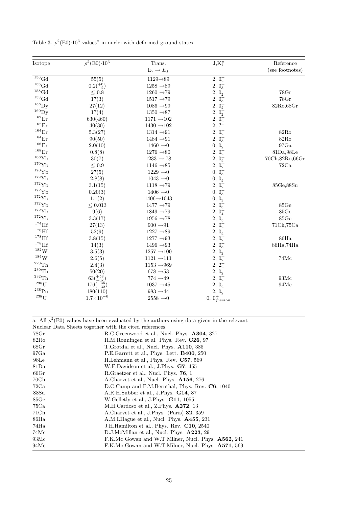|  |  |  |  |  |  |  | Table 3. $\rho^2(E0) \cdot 10^3$ values <sup><i>a</i></sup> in nuclei with deformed ground states |  |  |
|--|--|--|--|--|--|--|---------------------------------------------------------------------------------------------------|--|--|
|--|--|--|--|--|--|--|---------------------------------------------------------------------------------------------------|--|--|

| Isotope             | $\rho^2(\text{E0})\cdot 10^3$ | Trans.                       | $J_iK_i^{\pi}$                         | Reference        |
|---------------------|-------------------------------|------------------------------|----------------------------------------|------------------|
|                     |                               | $E_i \rightarrow E_f$        |                                        | (see footnotes)  |
| $^{156}\mbox{Gd}$   | 55(5)                         | $1129 - 89$                  | $2, 02+$                               |                  |
| $^{156}\mbox{Gd}$   | $0.2(^{+6}_{-2})$             | $1258 \to\!\! 89$            | $2, 0^{\frac{1}{3}}$                   |                  |
| $^{158}\mathrm{Gd}$ | $\leq$ 0.8 $\,$               | $1260 \rightarrow 79$        | $2, 02+$                               | 78Gr             |
| $^{158}\mathrm{Gd}$ | 17(3)                         | $1517 \rightarrow 79$        | $2, 03+$                               | $78 \rm{Gr}$     |
| $^{158}\mathrm{Dy}$ | 27(12)                        | 1086 $\rightarrow$ 99        | $2, 02+$                               | 82Ro, 68Gr       |
| $^{160}$ Dy         | 17(4)                         | 1350 $\rightarrow$ 87        | $2, 02+$                               |                  |
| $^{162}\mathrm{Er}$ | 630(460)                      | 1171 $\rightarrow$ 102       | $2, 02+$                               |                  |
| $^{162}\mathrm{Er}$ | 40(30)                        | $1430 - 102$                 | $2, ?^+$                               |                  |
| $^{164}\mathrm{Er}$ | 5.3(27)                       | $1314 - 91$                  | $2, 02+$                               | 82Ro             |
| $^{164}\mathrm{Er}$ | 90(50)                        | 1484 $\rightarrow$ 91        | 2, 0 <sub>3</sub>                      | 82Ro             |
| $^{166}\mathrm{Er}$ | 2.0(10)                       | $1460 \rightarrow 0$         | $0, 02^+$                              | 97Ga             |
| $^{168}\mathrm{Er}$ | 0.8(8)                        | 1276 $\rightarrow$ 80        | $2, 02+$                               | 81Da, 98Le       |
| $^{168}\mathrm{Yb}$ | 30(7)                         | $1233 \rightarrow 78$        | $2, 02+$                               | 70Ch,82Ro,66Gr   |
| $^{170}\mathrm{Yb}$ | $\leq 0.9$                    | 1146 $\rightarrow$ 85        | $2, 02+$                               | 72Ca             |
| $^{170}\mathrm{Yb}$ | 27(5)                         | 1229 $\rightarrow 0$         | 0, 0 <sub>3</sub>                      |                  |
| $^{172}{\rm Yb}$    | 2.8(8)                        | $1043 \rightarrow 0$         | $0, 02+$                               |                  |
| $^{172}{\rm Yb}$    | 3.1(15)                       | 1118 $\rightarrow$ 79        | $2, 02^+$                              | 85Ge, 88Su       |
| $^{172}\mathrm{Yb}$ | 0.20(3)                       | 1406 $\rightarrow$ 0         | 0, 0 <sub>3</sub>                      |                  |
| $^{172}\mathrm{Yb}$ | 1.1(2)                        | $1406\!\!\rightarrow\!1043$  | 0, 0,3                                 |                  |
| $172\text{Yb}$      | $\leq 0.013$                  | 1477 $\rightarrow$ 79        | 2, 0 <sub>3</sub>                      | $85\textrm{Ge}$  |
| $^{172}\mathrm{Yb}$ | 9(6)                          | 1849 $\rightarrow$ 79        | 2, 0 <sub>4</sub>                      | $85\textrm{Ge}$  |
| $172 \text{Yb}$     | 3.3(17)                       | 1956 $\rightarrow$ 78        | 2, 0 <sub>5</sub>                      | $85\textrm{Ge}$  |
| $174$ Hf            | 27(13)                        | $900\to\hskip-2pt91$         | $2, 02+$                               | 71Ch,75Ca        |
| $^{176}\mathrm{Hf}$ | 52(9)                         | 1227 $\rightarrow$ 89        | $2, 02+$                               |                  |
| $178$ Hf            | 3.8(15)                       | $1277 \to\hskip-1.7ex\to 93$ | $2, 02+$                               | 86Ha             |
| $^{178}\mathrm{Hf}$ | 14(3)                         | 1496 $\rightarrow$ 93        | $2, 03+$                               | 86Ha,74Ha        |
| $^{182}{\rm W}$     | 3.5(3)                        | $1257 \to \! 100$            | $2, 02+$                               |                  |
| $184 \text{W}$      | 2.6(5)                        | 1121 $\rightarrow$ 111       | $2, 02+$                               | $74 \mathrm{Mc}$ |
| $^{228}\mathrm{Th}$ | 2.4(3)                        | $1153 - 969$                 | $2, 2^+_2$<br>$2, 0^+_2$<br>$2, 0^+_2$ |                  |
| $^{230}\mathrm{Th}$ | 50(20)                        | 678 $\rightarrow$ 53         |                                        |                  |
| $^{232}\mathrm{Th}$ | $63(^{+53}_{-37})$            | $774$ $\rightarrow\!49$      |                                        | $93 \mathrm{Mc}$ |
| $238$ U             | $176(\substack{+36 \\ -32})$  | $1037 \rightarrow 45$        |                                        | 94Mc             |
| $^{238}\mathrm{Pu}$ | 180(110)                      | 983 $\rightarrow$ 44         | $2,\,0^+_2\\ 2,\,0^+_2$                |                  |
| $^{238}\mathrm{U}$  | $1.7 \times 10^{-6}$          | 2558 $\rightarrow$ 0         | $0, 0_{fission}^+$                     |                  |

a. All  $\rho^2(E0)$  values have been evaluated by the authors using data given in the relevant Nuclear Data Sheets together with the cited references. 78Gr R.C.Greenwood et al., Nucl. Phys. **A304**, 327 82Ro R.M.Ronningen et al. Phys. Rev. **C26**, 97 68Gr T.Grotdal et al., Nucl. Phys. **A110**, 385 97Ga P.E.Garrett et al., Phys. Lett. **B400**, 250 98Le H.Lehmann et al., Phys. Rev. **C57**, 569 81Da W.F.Davidson et al., J.Phys. **G7**, 455 66Gr R.Graetzer et al., Nucl. Phys. **76**, 1 70Ch A.Charvet et al., Nucl. Phys. **A156**, 276 72Ca D.C.Camp and F.M.Bernthal, Phys. Rev. **C6**, 1040 88Su A.R.H.Subber et al., J.Phys. **G14**, 87 85Ge W.Gelletly et al., J.Phys. **G11**, 1055 75Ca M.H.Cardoso et al., Z.Phys. **A272**, 13 71Ch A.Charvet et al., J.Phys. (Paris) **32**, 359 86Ha A.M.I.Hague et al., Nucl. Phys. **A455**, 231 74Ha J.H.Hamilton et al., Phys. Rev. **C10**, 2540 74Mc D.J.McMillan et al., Nucl. Phys. **A223**, 29 93Mc F.K.Mc Gowan and W.T.Milner, Nucl. Phys. **A562**, 241